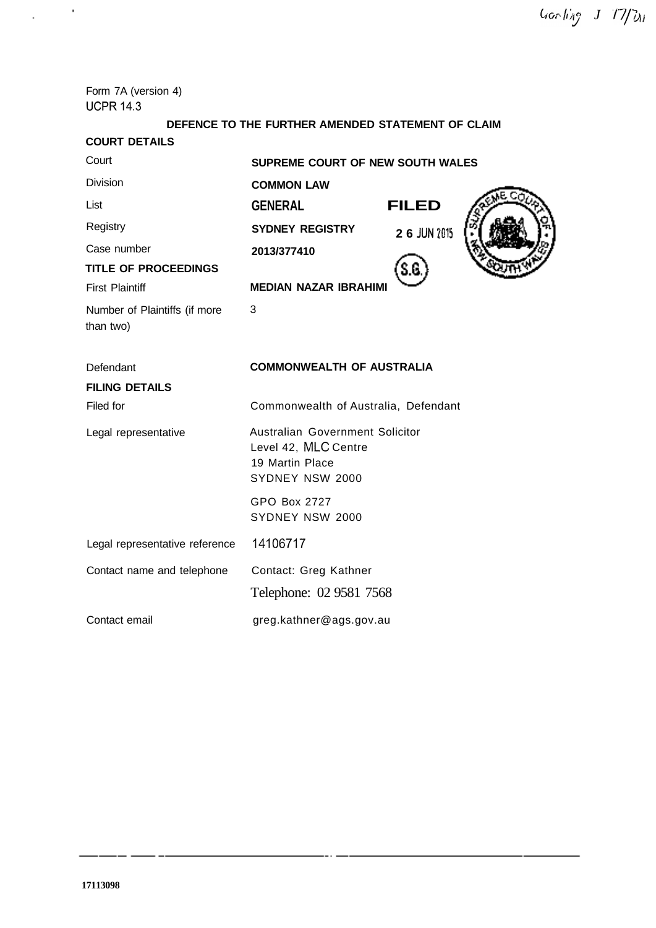Form 7A (version 4) **UCPR 14.3** 

 $\omega_{\rm{eff}}=2$ 

# **DEFENCE TO THE FURTHER AMENDED STATEMENT OF CLAIM**

| <b>COURT DETAILS</b>                       |                                                                                               |              |  |  |
|--------------------------------------------|-----------------------------------------------------------------------------------------------|--------------|--|--|
| Court                                      | <b>SUPREME COURT OF NEW SOUTH WALES</b>                                                       |              |  |  |
| <b>Division</b>                            | <b>COMMON LAW</b>                                                                             |              |  |  |
| List                                       | <b>GENERAL</b>                                                                                | <b>FILED</b> |  |  |
| Registry                                   | <b>SYDNEY REGISTRY</b>                                                                        | 2 6 JUN 2015 |  |  |
| Case number                                | 2013/377410                                                                                   |              |  |  |
| <b>TITLE OF PROCEEDINGS</b>                |                                                                                               |              |  |  |
| <b>First Plaintiff</b>                     | <b>MEDIAN NAZAR IBRAHIMI</b>                                                                  |              |  |  |
| Number of Plaintiffs (if more<br>than two) | 3                                                                                             |              |  |  |
| Defendant                                  | <b>COMMONWEALTH OF AUSTRALIA</b>                                                              |              |  |  |
| <b>FILING DETAILS</b>                      |                                                                                               |              |  |  |
| Filed for                                  | Commonwealth of Australia, Defendant                                                          |              |  |  |
| Legal representative                       | Australian Government Solicitor<br>Level 42, MLC Centre<br>19 Martin Place<br>SYDNEY NSW 2000 |              |  |  |
|                                            | GPO Box 2727<br>SYDNEY NSW 2000                                                               |              |  |  |
| Legal representative reference             | 14106717                                                                                      |              |  |  |
| Contact name and telephone                 | Contact: Greg Kathner                                                                         |              |  |  |
|                                            | Telephone: 02 9581 7568                                                                       |              |  |  |
| Contact email                              | greg.kathner@ags.gov.au                                                                       |              |  |  |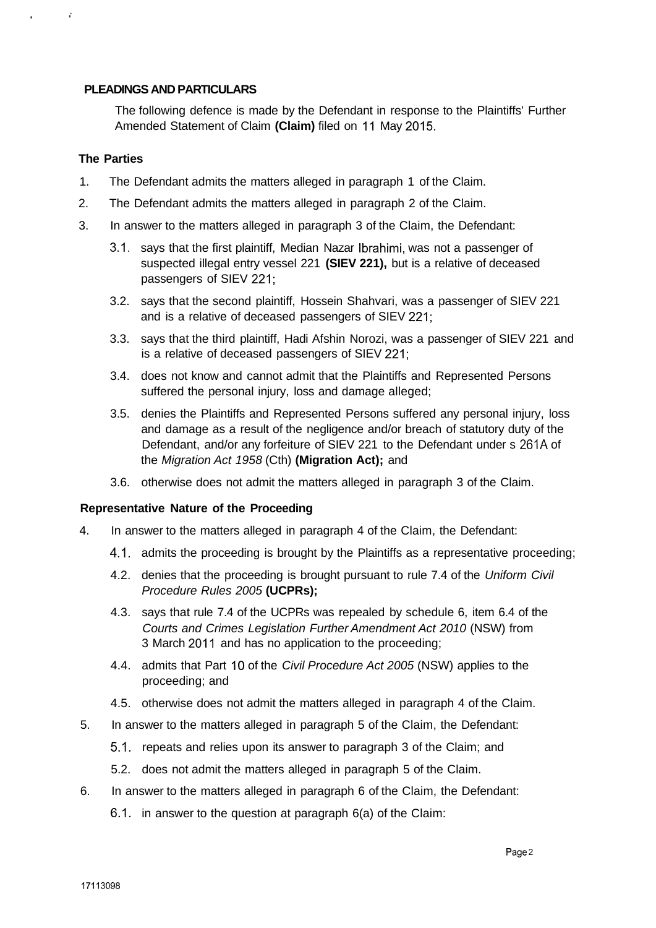## **PLEADINGS AND PARTICULARS**

The following defence is made by the Defendant in response to the Plaintiffs' Further Amended Statement of Claim **(Claim)** filed on 11 May 2015.

## **The Parties**

r.

- 1. The Defendant admits the matters alleged in paragraph 1 of the Claim.
- 2. The Defendant admits the matters alleged in paragraph 2 of the Claim.
- 3. In answer to the matters alleged in paragraph 3 of the Claim, the Defendant:
	- 3.1. says that the first plaintiff, Median Nazar Ibrahimi, was not a passenger of suspected illegal entry vessel 221 **(SIEV 221),** but is a relative of deceased passengers of SIEV 221;
	- 3.2. says that the second plaintiff, Hossein Shahvari, was a passenger of SIEV 221 and is a relative of deceased passengers of SIEV 221;
	- 3.3. says that the third plaintiff, Hadi Afshin Norozi, was a passenger of SIEV 221 and is a relative of deceased passengers of SIEV 221;
	- 3.4. does not know and cannot admit that the Plaintiffs and Represented Persons suffered the personal injury, loss and damage alleged;
	- 3.5. denies the Plaintiffs and Represented Persons suffered any personal injury, loss and damage as a result of the negligence and/or breach of statutory duty of the Defendant, and/or any forfeiture of SIEV 221 to the Defendant under s 261A of the Migration Act 1958 (Cth) **(Migration Act);** and
	- 3.6. otherwise does not admit the matters alleged in paragraph 3 of the Claim.

### **Representative Nature of the Proceeding**

- 4. In answer to the matters alleged in paragraph 4 of the Claim, the Defendant:
	- 4.1. admits the proceeding is brought by the Plaintiffs as a representative proceeding;
	- 4.2. denies that the proceeding is brought pursuant to rule 7.4 of the Uniform Civil Procedure Rules 2005 **(UCPRs);**
	- 4.3. says that rule 7.4 of the UCPRs was repealed by schedule 6, item 6.4 of the Courts and Crimes Legislation Further Amendment Act 2010 (NSW) from 3 March 2011 and has no application to the proceeding;
	- 4.4. admits that Part 10 of the Civil Procedure Act 2005 (NSW) applies to the proceeding; and
	- 4.5. otherwise does not admit the matters alleged in paragraph 4 of the Claim.
- 5. In answer to the matters alleged in paragraph 5 of the Claim, the Defendant:
	- 5.1. repeats and relies upon its answer to paragraph 3 of the Claim; and
	- 5.2. does not admit the matters alleged in paragraph 5 of the Claim.
- 6. In answer to the matters alleged in paragraph 6 of the Claim, the Defendant:
	- 6.1. in answer to the question at paragraph 6(a) of the Claim: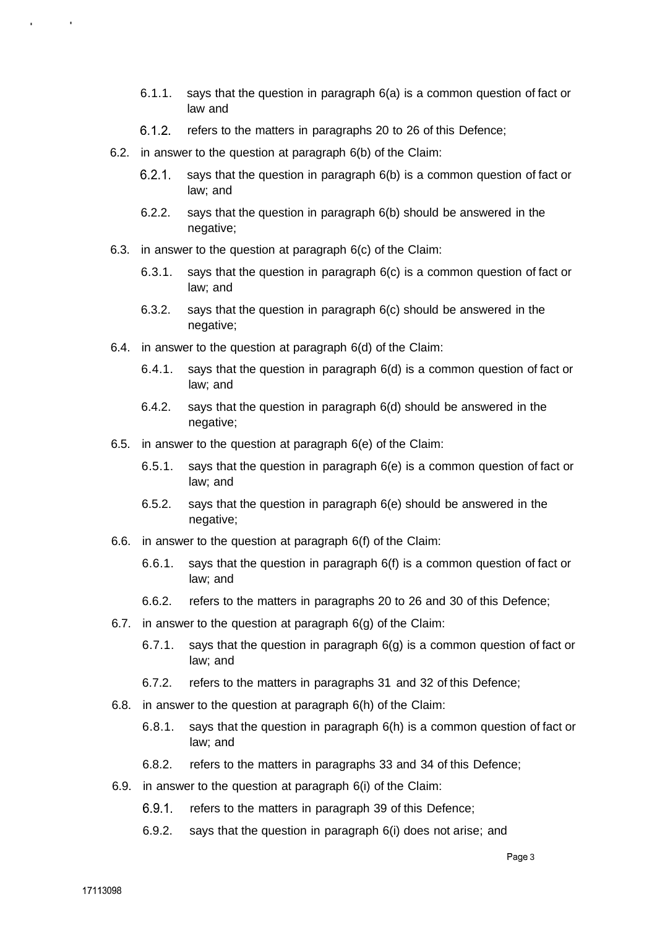- 6.1.1. says that the question in paragraph 6(a) is a common question of fact or law and
- 6.1.2. refers to the matters in paragraphs 20 to 26 of this Defence;
- 6.2. in answer to the question at paragraph 6(b) of the Claim:
	- 6.2.1. says that the question in paragraph 6(b) is a common question of fact or law; and
	- 6.2.2. says that the question in paragraph 6(b) should be answered in the negative;
- 6.3. in answer to the question at paragraph 6(c) of the Claim:
	- 6.3.1. says that the question in paragraph 6(c) is a common question of fact or law; and
	- 6.3.2. says that the question in paragraph 6(c) should be answered in the negative;
- 6.4. in answer to the question at paragraph 6(d) of the Claim:
	- 6.4.1. says that the question in paragraph 6(d) is a common question of fact or law; and
	- 6.4.2. says that the question in paragraph 6(d) should be answered in the negative;
- 6.5. in answer to the question at paragraph 6(e) of the Claim:
	- 6.5.1. says that the question in paragraph 6(e) is a common question of fact or law; and
	- 6.5.2. says that the question in paragraph 6(e) should be answered in the negative;
- 6.6. in answer to the question at paragraph 6(f) of the Claim:
	- 6.6.1. says that the question in paragraph 6(f) is a common question of fact or law; and
	- 6.6.2. refers to the matters in paragraphs 20 to 26 and 30 of this Defence;
- 6.7. in answer to the question at paragraph 6(g) of the Claim:
	- 6.7.1. says that the question in paragraph 6(g) is a common question of fact or law; and
	- 6.7.2. refers to the matters in paragraphs 31 and 32 of this Defence;
- 6.8. in answer to the question at paragraph 6(h) of the Claim:
	- 6.8.1. says that the question in paragraph 6(h) is a common question of fact or law; and
	- 6.8.2. refers to the matters in paragraphs 33 and 34 of this Defence;
- 6.9. in answer to the question at paragraph 6(i) of the Claim:
	- 6.9.1. refers to the matters in paragraph 39 of this Defence;
	- 6.9.2. says that the question in paragraph 6(i) does not arise; and

 $\mathbf{r}$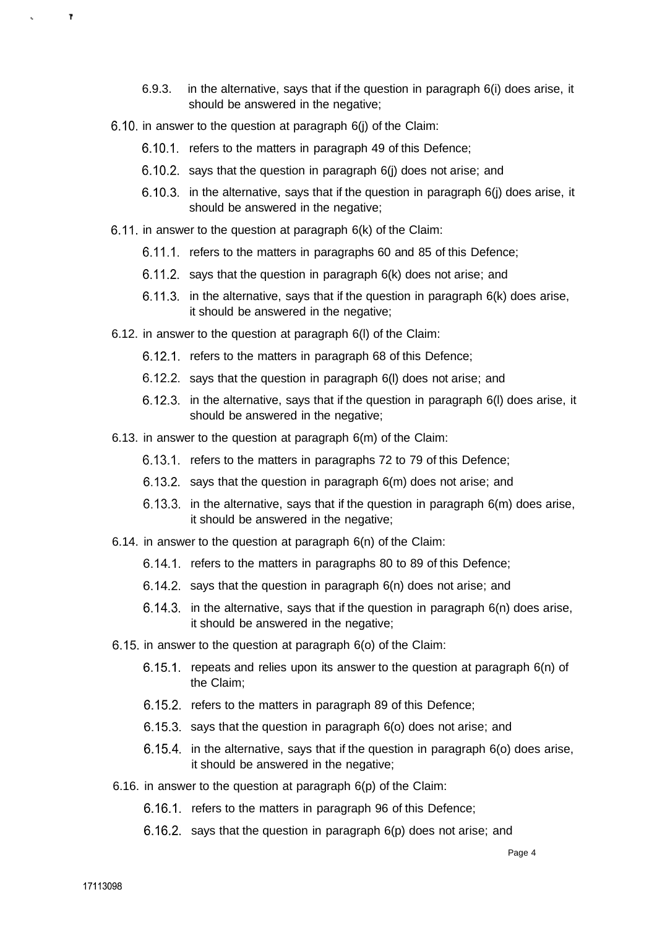- 6.9.3. in the alternative, says that if the question in paragraph 6(i) does arise, it should be answered in the negative:
- 6.10. in answer to the question at paragraph 6(j) of the Claim:
	- 6.10.1. refers to the matters in paragraph 49 of this Defence;
	- 6.10.2. says that the question in paragraph 6(j) does not arise; and
	- 6.10.3. in the alternative, says that if the question in paragraph 6(j) does arise, it should be answered in the negative;
- 6.11. in answer to the question at paragraph 6(k) of the Claim:
	- 6.11.1. refers to the matters in paragraphs 60 and 85 of this Defence;
	- 6.11.2. says that the question in paragraph 6(k) does not arise; and
	- 6.11.3. in the alternative, says that if the question in paragraph 6(k) does arise, it should be answered in the negative;
- 6.12. in answer to the question at paragraph 6(l) of the Claim:
	- 6.12.1. refers to the matters in paragraph 68 of this Defence;
	- 6.12.2. says that the question in paragraph 6(l) does not arise; and
	- 6.12.3. in the alternative, says that if the question in paragraph 6(l) does arise, it should be answered in the negative;
- 6.13. in answer to the question at paragraph 6(m) of the Claim:
	- 6.13.1. refers to the matters in paragraphs 72 to 79 of this Defence;
	- 6.13.2. says that the question in paragraph 6(m) does not arise; and
	- 6.13.3. in the alternative, says that if the question in paragraph 6(m) does arise, it should be answered in the negative;
- 6.14. in answer to the question at paragraph 6(n) of the Claim:
	- 6.14.1. refers to the matters in paragraphs 80 to 89 of this Defence;
	- 6.14.2. says that the question in paragraph 6(n) does not arise; and
	- 6.14.3. in the alternative, says that if the question in paragraph 6(n) does arise, it should be answered in the negative;
- 6.15. in answer to the question at paragraph 6(o) of the Claim:
	- 6.15.1. repeats and relies upon its answer to the question at paragraph 6(n) of the Claim;
	- 6.15.2. refers to the matters in paragraph 89 of this Defence;
	- 6.15.3. says that the question in paragraph 6(o) does not arise; and
	- 6.15.4. in the alternative, says that if the question in paragraph 6(o) does arise, it should be answered in the negative;
- 6.16. in answer to the question at paragraph 6(p) of the Claim:
	- 6.16.1. refers to the matters in paragraph 96 of this Defence;
	- 6.16.2. says that the question in paragraph 6(p) does not arise; and

 $\mathbf{r}$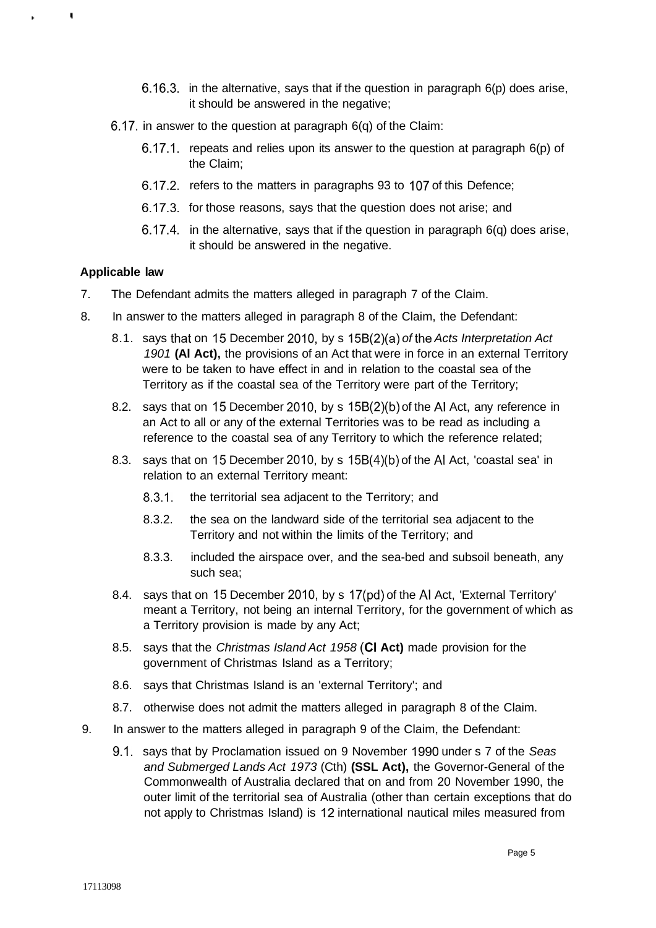- 6.16.3. in the alternative, says that if the question in paragraph 6(p) does arise, it should be answered in the negative;
- 6.17. in answer to the question at paragraph 6(q) of the Claim:
	- 6.17.1. repeats and relies upon its answer to the question at paragraph 6(p) of the Claim;
	- 6.17.2. refers to the matters in paragraphs 93 to 107 of this Defence;
	- 6.17.3. for those reasons, says that the question does not arise; and
	- 6.17.4. in the alternative, says that if the question in paragraph 6(q) does arise, it should be answered in the negative.

### **Applicable law**

 $\blacksquare$ 

- 7. The Defendant admits the matters alleged in paragraph 7 of the Claim.
- 8. In answer to the matters alleged in paragraph 8 of the Claim, the Defendant:
	- 8.1. says that on 15 December 2010, by s  $15B(2)(a)$  of the Acts Interpretation Act 1901 **(Al Act),** the provisions of an Act that were in force in an external Territory were to be taken to have effect in and in relation to the coastal sea of the Territory as if the coastal sea of the Territory were part of the Territory;
	- 8.2. says that on 15 December 2010, by s 15B(2)(b) of the Al Act, any reference in an Act to all or any of the external Territories was to be read as including a reference to the coastal sea of any Territory to which the reference related;
	- 8.3. says that on 15 December 2010, by s 15B(4)(b) of the Al Act, 'coastal sea' in relation to an external Territory meant:
		- 8.3.1. the territorial sea adjacent to the Territory; and
		- 8.3.2. the sea on the landward side of the territorial sea adjacent to the Territory and not within the limits of the Territory; and
		- 8.3.3. included the airspace over, and the sea-bed and subsoil beneath, any such sea;
	- 8.4. says that on 15 December 2010, by s 17(pd) of the Al Act, 'External Territory' meant a Territory, not being an internal Territory, for the government of which as a Territory provision is made by any Act;
	- 8.5. says that the Christmas Island Act 1958 (CI **Act)** made provision for the government of Christmas Island as a Territory;
	- 8.6. says that Christmas Island is an 'external Territory'; and
	- 8.7. otherwise does not admit the matters alleged in paragraph 8 of the Claim.
- 9. In answer to the matters alleged in paragraph 9 of the Claim, the Defendant:
	- 9.1. says that by Proclamation issued on 9 November 1990 under s 7 of the Seas and Submerged Lands Act 1973 (Cth) **(SSL Act),** the Governor-General of the Commonwealth of Australia declared that on and from 20 November 1990, the outer limit of the territorial sea of Australia (other than certain exceptions that do not apply to Christmas Island) is 12 international nautical miles measured from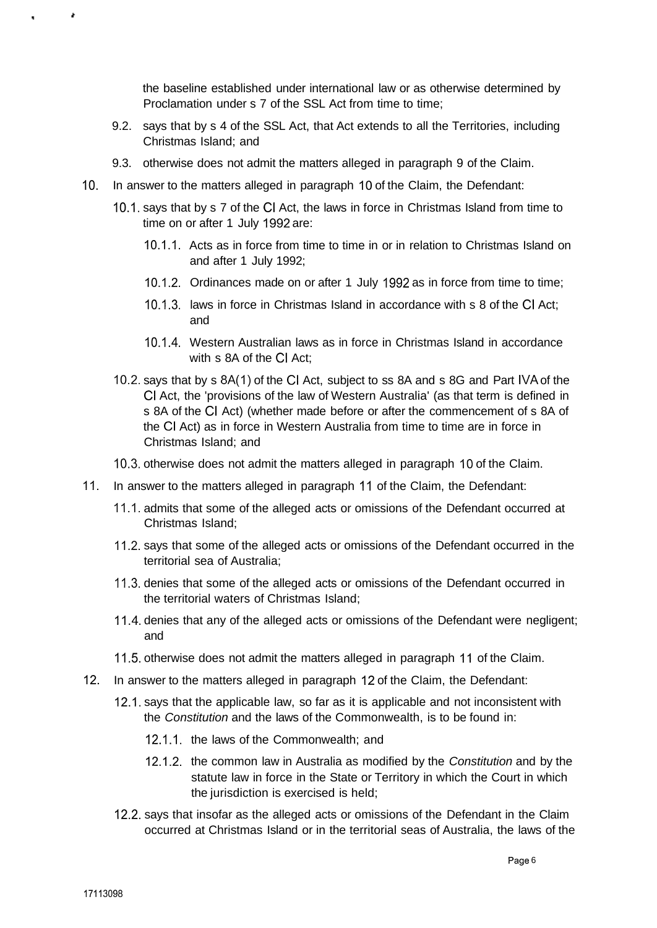the baseline established under international law or as otherwise determined by Proclamation under s 7 of the SSL Act from time to time;

- 9.2. says that by s 4 of the SSL Act, that Act extends to all the Territories, including Christmas Island; and
- 9.3. otherwise does not admit the matters alleged in paragraph 9 of the Claim.
- 10. In answer to the matters alleged in paragraph 10 of the Claim, the Defendant:
	- 10.1. says that by s 7 of the CI Act, the laws in force in Christmas Island from time to time on or after 1 July 1992 are:
		- 10.1.1. Acts as in force from time to time in or in relation to Christmas Island on and after 1 July 1992;
		- 10.1.2. Ordinances made on or after 1 July 1992 as in force from time to time;
		- 10.1.3. laws in force in Christmas Island in accordance with s 8 of the CI Act; and
		- 10.1.4. Western Australian laws as in force in Christmas Island in accordance with s 8A of the CI Act;
	- 10.2. says that by s 8A(1) of the CI Act, subject to ss 8A and s 8G and Part IVA of the CI Act, the 'provisions of the law of Western Australia' (as that term is defined in s 8A of the CI Act) (whether made before or after the commencement of s 8A of the CI Act) as in force in Western Australia from time to time are in force in Christmas Island; and
	- 10.3. otherwise does not admit the matters alleged in paragraph 10 of the Claim.
- 11. In answer to the matters alleged in paragraph 11 of the Claim, the Defendant:
	- 11.1. admits that some of the alleged acts or omissions of the Defendant occurred at Christmas Island;
	- 11.2. says that some of the alleged acts or omissions of the Defendant occurred in the territorial sea of Australia;
	- 11.3. denies that some of the alleged acts or omissions of the Defendant occurred in the territorial waters of Christmas Island;
	- 11.4. denies that any of the alleged acts or omissions of the Defendant were negligent; and
	- 11.5. otherwise does not admit the matters alleged in paragraph 11 of the Claim.
- 12. In answer to the matters alleged in paragraph 12 of the Claim, the Defendant:
	- 12.1. says that the applicable law, so far as it is applicable and not inconsistent with the Constitution and the laws of the Commonwealth, is to be found in:
		- 12.1.1. the laws of the Commonwealth; and
		- 12.1.2. the common law in Australia as modified by the Constitution and by the statute law in force in the State or Territory in which the Court in which the jurisdiction is exercised is held;
	- 12.2. says that insofar as the alleged acts or omissions of the Defendant in the Claim occurred at Christmas Island or in the territorial seas of Australia, the laws of the

Ł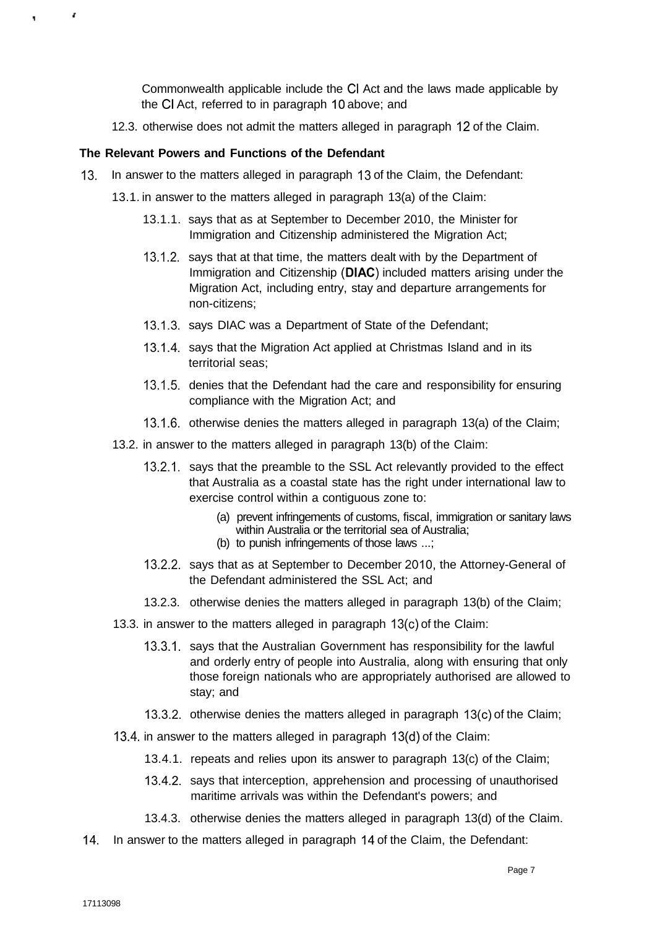Commonwealth applicable include the CI Act and the laws made applicable by the CI Act, referred to in paragraph 10 above; and

12.3. otherwise does not admit the matters alleged in paragraph 12 of the Claim.

## **The Relevant Powers and Functions of the Defendant**

r

- 13. In answer to the matters alleged in paragraph 13 of the Claim, the Defendant:
	- 13.1. in answer to the matters alleged in paragraph 13(a) of the Claim:
		- 13.1.1. says that as at September to December 2010, the Minister for Immigration and Citizenship administered the Migration Act;
		- 13.1.2. says that at that time, the matters dealt with by the Department of Immigration and Citizenship **(DIAC)** included matters arising under the Migration Act, including entry, stay and departure arrangements for non-citizens;
		- 13.1.3. says DIAC was a Department of State of the Defendant;
		- 13.1.4. says that the Migration Act applied at Christmas Island and in its territorial seas;
		- 13.1.5. denies that the Defendant had the care and responsibility for ensuring compliance with the Migration Act; and
		- 13.1.6. otherwise denies the matters alleged in paragraph 13(a) of the Claim;
	- 13.2. in answer to the matters alleged in paragraph 13(b) of the Claim:
		- 13.2.1. says that the preamble to the SSL Act relevantly provided to the effect that Australia as a coastal state has the right under international law to exercise control within a contiguous zone to:
			- (a) prevent infringements of customs, fiscal, immigration or sanitary laws within Australia or the territorial sea of Australia;
			- (b) to punish infringements of those laws ...;
		- 13.2.2. says that as at September to December 2010, the Attorney-General of the Defendant administered the SSL Act; and
		- 13.2.3. otherwise denies the matters alleged in paragraph 13(b) of the Claim;
	- 13.3. in answer to the matters alleged in paragraph 13(c) of the Claim:
		- 13.3.1. says that the Australian Government has responsibility for the lawful and orderly entry of people into Australia, along with ensuring that only those foreign nationals who are appropriately authorised are allowed to stay; and
		- 13.3.2. otherwise denies the matters alleged in paragraph 13(c) of the Claim;
	- 13.4. in answer to the matters alleged in paragraph 13(d) of the Claim:
		- 13.4.1. repeats and relies upon its answer to paragraph 13(c) of the Claim;
		- 13.4.2. says that interception, apprehension and processing of unauthorised maritime arrivals was within the Defendant's powers; and
		- 13.4.3. otherwise denies the matters alleged in paragraph 13(d) of the Claim.
- 14. In answer to the matters alleged in paragraph 14 of the Claim, the Defendant: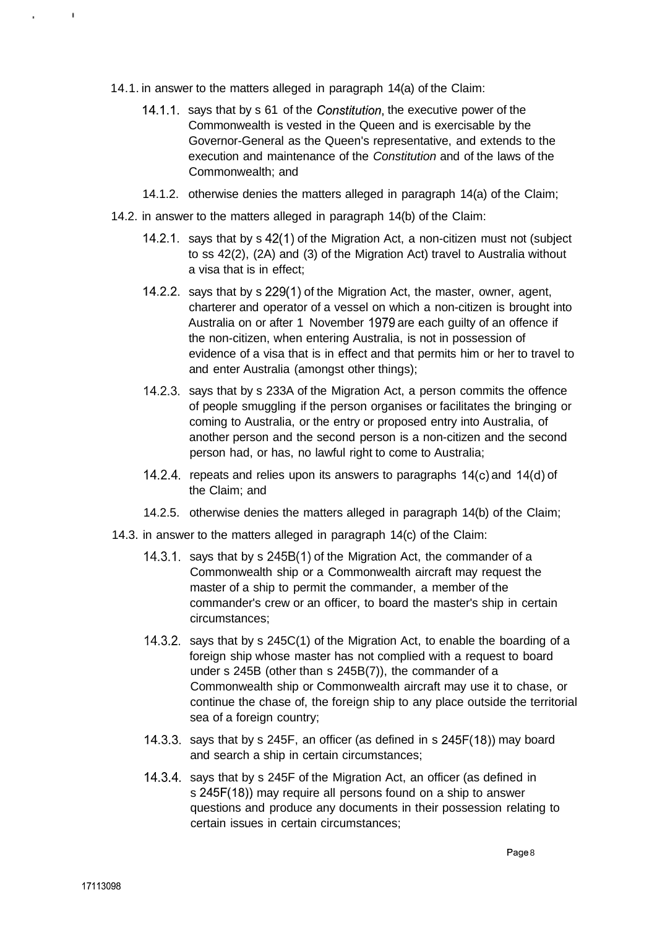- 14.1. in answer to the matters alleged in paragraph 14(a) of the Claim:
	- 14.1.1. says that by s 61 of the Constitution, the executive power of the Commonwealth is vested in the Queen and is exercisable by the Governor-General as the Queen's representative, and extends to the execution and maintenance of the Constitution and of the laws of the Commonwealth; and
	- 14.1.2. otherwise denies the matters alleged in paragraph 14(a) of the Claim;
- 14.2. in answer to the matters alleged in paragraph 14(b) of the Claim:
	- 14.2.1. says that by s 42(1) of the Migration Act, a non-citizen must not (subject to ss 42(2), (2A) and (3) of the Migration Act) travel to Australia without a visa that is in effect;
	- 14.2.2. says that by s 229(1) of the Migration Act, the master, owner, agent, charterer and operator of a vessel on which a non-citizen is brought into Australia on or after 1 November 1979 are each guilty of an offence if the non-citizen, when entering Australia, is not in possession of evidence of a visa that is in effect and that permits him or her to travel to and enter Australia (amongst other things);
	- 14.2.3. says that by s 233A of the Migration Act, a person commits the offence of people smuggling if the person organises or facilitates the bringing or coming to Australia, or the entry or proposed entry into Australia, of another person and the second person is a non-citizen and the second person had, or has, no lawful right to come to Australia;
	- 14.2.4. repeats and relies upon its answers to paragraphs 14(c) and 14(d) of the Claim; and
	- 14.2.5. otherwise denies the matters alleged in paragraph 14(b) of the Claim;
- 14.3. in answer to the matters alleged in paragraph 14(c) of the Claim:
	- 14.3.1. says that by s 245B(1) of the Migration Act, the commander of a Commonwealth ship or a Commonwealth aircraft may request the master of a ship to permit the commander, a member of the commander's crew or an officer, to board the master's ship in certain circumstances;
	- 14.3.2. says that by s 245C(1) of the Migration Act, to enable the boarding of a foreign ship whose master has not complied with a request to board under s 245B (other than s 245B(7)), the commander of a Commonwealth ship or Commonwealth aircraft may use it to chase, or continue the chase of, the foreign ship to any place outside the territorial sea of a foreign country;
	- 14.3.3. says that by s 245F, an officer (as defined in s 245F(18)) may board and search a ship in certain circumstances;
	- 14.3.4. says that by s 245F of the Migration Act, an officer (as defined in s 245F(18)) may require all persons found on a ship to answer questions and produce any documents in their possession relating to certain issues in certain circumstances;

 $\mathbf{I}$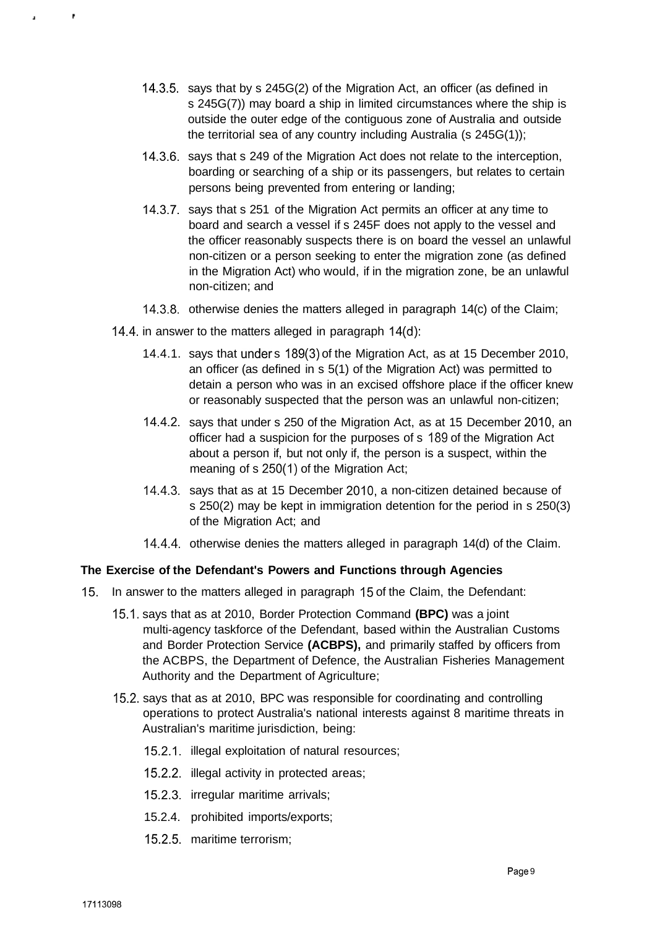- 14.3.5. says that by s 245G(2) of the Migration Act, an officer (as defined in s 245G(7)) may board a ship in limited circumstances where the ship is outside the outer edge of the contiguous zone of Australia and outside the territorial sea of any country including Australia (s 245G(1));
- 14.3.6. says that s 249 of the Migration Act does not relate to the interception, boarding or searching of a ship or its passengers, but relates to certain persons being prevented from entering or landing;
- 14.3.7. says that s 251 of the Migration Act permits an officer at any time to board and search a vessel if s 245F does not apply to the vessel and the officer reasonably suspects there is on board the vessel an unlawful non-citizen or a person seeking to enter the migration zone (as defined in the Migration Act) who would, if in the migration zone, be an unlawful non-citizen; and
- 14.3.8. otherwise denies the matters alleged in paragraph 14(c) of the Claim;
- 14.4. in answer to the matters alleged in paragraph 14(d):
	- 14.4.1. says that under s 189(3) of the Migration Act, as at 15 December 2010, an officer (as defined in s 5(1) of the Migration Act) was permitted to detain a person who was in an excised offshore place if the officer knew or reasonably suspected that the person was an unlawful non-citizen;
	- 14.4.2. says that under s 250 of the Migration Act, as at 15 December 2010, an officer had a suspicion for the purposes of s 189 of the Migration Act about a person if, but not only if, the person is a suspect, within the meaning of s 250(1) of the Migration Act;
	- 14.4.3. says that as at 15 December 2010, a non-citizen detained because of s 250(2) may be kept in immigration detention for the period in s 250(3) of the Migration Act; and
	- 14.4.4. otherwise denies the matters alleged in paragraph 14(d) of the Claim.

## **The Exercise of the Defendant's Powers and Functions through Agencies**

- 15. In answer to the matters alleged in paragraph 15 of the Claim, the Defendant:
	- 15.1. says that as at 2010, Border Protection Command **(BPC)** was a joint multi-agency taskforce of the Defendant, based within the Australian Customs and Border Protection Service **(ACBPS),** and primarily staffed by officers from the ACBPS, the Department of Defence, the Australian Fisheries Management Authority and the Department of Agriculture;
	- 15.2. says that as at 2010, BPC was responsible for coordinating and controlling operations to protect Australia's national interests against 8 maritime threats in Australian's maritime jurisdiction, being:
		- 15.2.1. illegal exploitation of natural resources;
		- 15.2.2. illegal activity in protected areas;
		- 15.2.3. irregular maritime arrivals;
		- 15.2.4. prohibited imports/exports;
		- 15.2.5. maritime terrorism;

ł.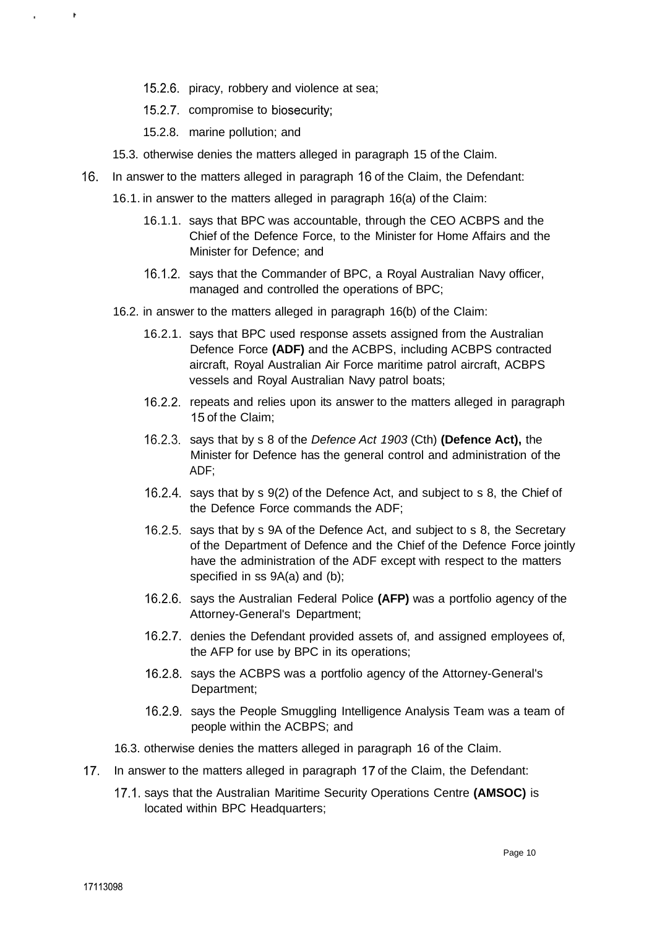- 15.2.6. piracy, robbery and violence at sea;
- 15.2.7. compromise to biosecurity;
- 15.2.8. marine pollution; and
- 15.3. otherwise denies the matters alleged in paragraph 15 of the Claim.
- 16. In answer to the matters alleged in paragraph 16 of the Claim, the Defendant:
	- 16.1. in answer to the matters alleged in paragraph 16(a) of the Claim:
		- 16.1.1. says that BPC was accountable, through the CEO ACBPS and the Chief of the Defence Force, to the Minister for Home Affairs and the Minister for Defence; and
		- 16.1.2. says that the Commander of BPC, a Royal Australian Navy officer, managed and controlled the operations of BPC;
	- 16.2. in answer to the matters alleged in paragraph 16(b) of the Claim:
		- 16.2.1. says that BPC used response assets assigned from the Australian Defence Force **(ADF)** and the ACBPS, including ACBPS contracted aircraft, Royal Australian Air Force maritime patrol aircraft, ACBPS vessels and Royal Australian Navy patrol boats;
		- 16.2.2. repeats and relies upon its answer to the matters alleged in paragraph 15 of the Claim;
		- 16.2.3. says that by s 8 of the Defence Act 1903 (Cth) **(Defence Act),** the Minister for Defence has the general control and administration of the ADF;
		- 16.2.4. says that by s 9(2) of the Defence Act, and subject to s 8, the Chief of the Defence Force commands the ADF;
		- 16.2.5. says that by s 9A of the Defence Act, and subject to s 8, the Secretary of the Department of Defence and the Chief of the Defence Force jointly have the administration of the ADF except with respect to the matters specified in ss 9A(a) and (b);
		- 16.2.6. says the Australian Federal Police **(AFP)** was a portfolio agency of the Attorney-General's Department;
		- 16.2.7. denies the Defendant provided assets of, and assigned employees of, the AFP for use by BPC in its operations;
		- 16.2.8. says the ACBPS was a portfolio agency of the Attorney-General's Department;
		- 16.2.9. says the People Smuggling Intelligence Analysis Team was a team of people within the ACBPS; and
	- 16.3. otherwise denies the matters alleged in paragraph 16 of the Claim.
- 17. In answer to the matters alleged in paragraph 17 of the Claim, the Defendant:
	- 17.1. says that the Australian Maritime Security Operations Centre **(AMSOC)** is located within BPC Headquarters;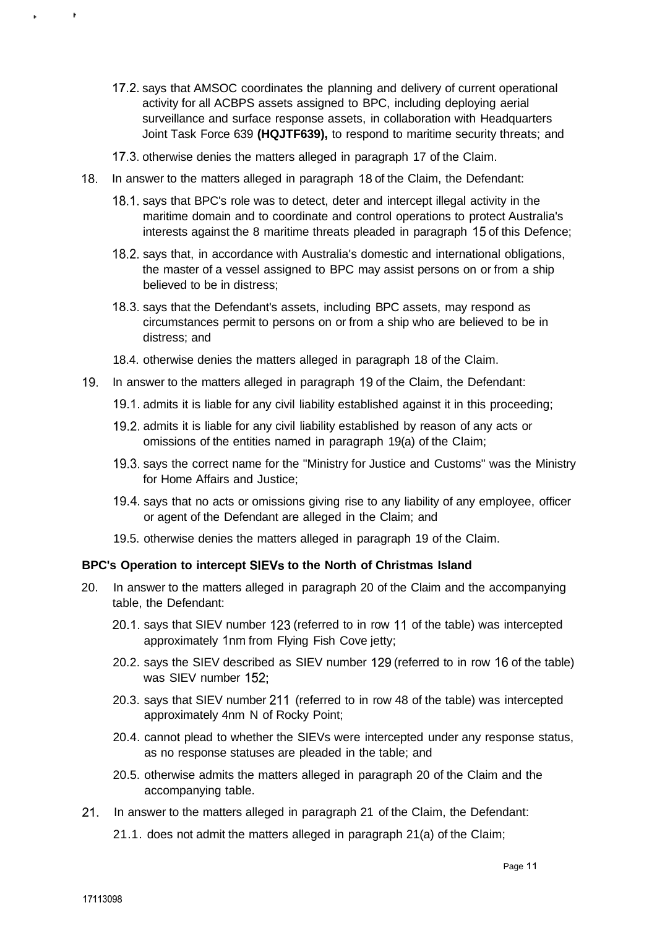- 17.2. says that AMSOC coordinates the planning and delivery of current operational activity for all ACBPS assets assigned to BPC, including deploying aerial surveillance and surface response assets, in collaboration with Headquarters Joint Task Force 639 **(HQJTF639),** to respond to maritime security threats; and
- 17.3. otherwise denies the matters alleged in paragraph 17 of the Claim.
- 18. In answer to the matters alleged in paragraph 18 of the Claim, the Defendant:
	- 18.1. says that BPC's role was to detect, deter and intercept illegal activity in the maritime domain and to coordinate and control operations to protect Australia's interests against the 8 maritime threats pleaded in paragraph 15 of this Defence;
	- 18.2. says that, in accordance with Australia's domestic and international obligations, the master of a vessel assigned to BPC may assist persons on or from a ship believed to be in distress;
	- 18.3. says that the Defendant's assets, including BPC assets, may respond as circumstances permit to persons on or from a ship who are believed to be in distress; and
	- 18.4. otherwise denies the matters alleged in paragraph 18 of the Claim.
- 19. In answer to the matters alleged in paragraph 19 of the Claim, the Defendant:
	- 19.1. admits it is liable for any civil liability established against it in this proceeding;
	- 19.2. admits it is liable for any civil liability established by reason of any acts or omissions of the entities named in paragraph 19(a) of the Claim;
	- 19.3. says the correct name for the "Ministry for Justice and Customs" was the Ministry for Home Affairs and Justice;
	- 19.4. says that no acts or omissions giving rise to any liability of any employee, officer or agent of the Defendant are alleged in the Claim; and
	- 19.5. otherwise denies the matters alleged in paragraph 19 of the Claim.

#### **BPC's Operation to intercept SIEVs to the North of Christmas Island**

- 20. In answer to the matters alleged in paragraph 20 of the Claim and the accompanying table, the Defendant:
	- 20.1. says that SIEV number 123 (referred to in row 11 of the table) was intercepted approximately 1nm from Flying Fish Cove jetty;
	- 20.2. says the SIEV described as SIEV number 129 (referred to in row 16 of the table) was SIEV number 152;
	- 20.3. says that SIEV number 211 (referred to in row 48 of the table) was intercepted approximately 4nm N of Rocky Point;
	- 20.4. cannot plead to whether the SIEVs were intercepted under any response status, as no response statuses are pleaded in the table; and
	- 20.5. otherwise admits the matters alleged in paragraph 20 of the Claim and the accompanying table.
- 21. In answer to the matters alleged in paragraph 21 of the Claim, the Defendant:
	- 21.1. does not admit the matters alleged in paragraph 21(a) of the Claim;

Ł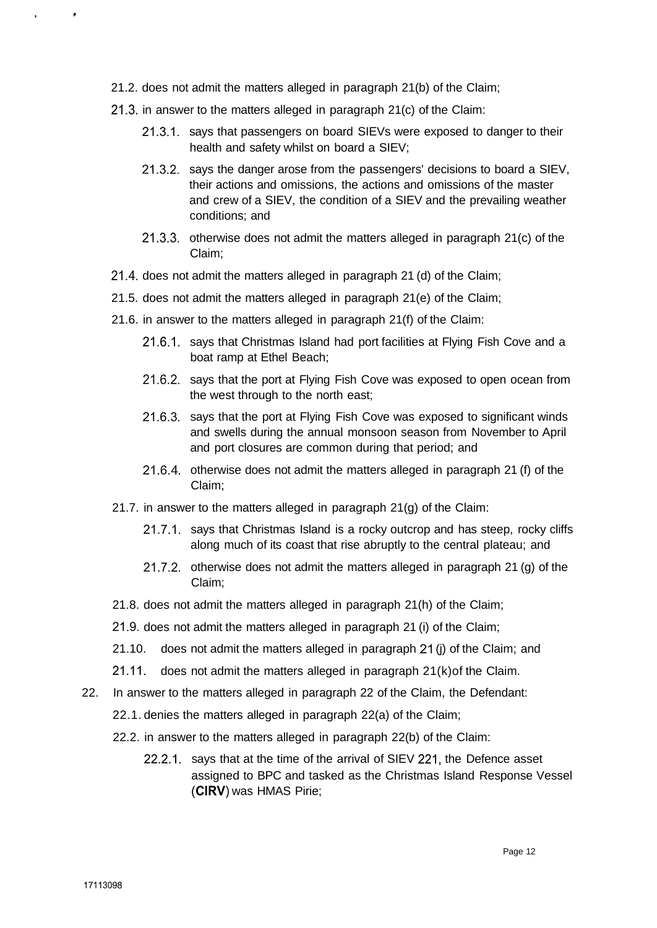- 21.2. does not admit the matters alleged in paragraph 21(b) of the Claim;
- 21.3. in answer to the matters alleged in paragraph 21(c) of the Claim:
	- 21.3.1. says that passengers on board SIEVs were exposed to danger to their health and safety whilst on board a SIEV;
	- 21.3.2. says the danger arose from the passengers' decisions to board a SIEV, their actions and omissions, the actions and omissions of the master and crew of a SIEV, the condition of a SIEV and the prevailing weather conditions; and
	- 21.3.3. otherwise does not admit the matters alleged in paragraph 21(c) of the Claim;
- 21.4. does not admit the matters alleged in paragraph 21 (d) of the Claim;
- 21.5. does not admit the matters alleged in paragraph 21(e) of the Claim;
- 21.6. in answer to the matters alleged in paragraph 21(f) of the Claim:
	- 21.6.1. says that Christmas Island had port facilities at Flying Fish Cove and a boat ramp at Ethel Beach;
	- 21.6.2. says that the port at Flying Fish Cove was exposed to open ocean from the west through to the north east;
	- 21.6.3. says that the port at Flying Fish Cove was exposed to significant winds and swells during the annual monsoon season from November to April and port closures are common during that period; and
	- 21.6.4. otherwise does not admit the matters alleged in paragraph 21 (f) of the Claim;
- 21.7. in answer to the matters alleged in paragraph 21(g) of the Claim:
	- 21.7.1. says that Christmas Island is a rocky outcrop and has steep, rocky cliffs along much of its coast that rise abruptly to the central plateau; and
	- 21.7.2. otherwise does not admit the matters alleged in paragraph 21 (g) of the Claim;
- 21.8. does not admit the matters alleged in paragraph 21(h) of the Claim;
- 21.9. does not admit the matters alleged in paragraph 21 (i) of the Claim;
- 21.10. does not admit the matters alleged in paragraph 21 (j) of the Claim; and
- 21.11. does not admit the matters alleged in paragraph 21(k)of the Claim.
- 22. In answer to the matters alleged in paragraph 22 of the Claim, the Defendant:
	- 22.1. denies the matters alleged in paragraph 22(a) of the Claim;
	- 22.2. in answer to the matters alleged in paragraph 22(b) of the Claim:
		- 22.2.1. says that at the time of the arrival of SIEV 221, the Defence asset assigned to BPC and tasked as the Christmas Island Response Vessel **(CIRV)** was HMAS Pirie;

 $\cdot$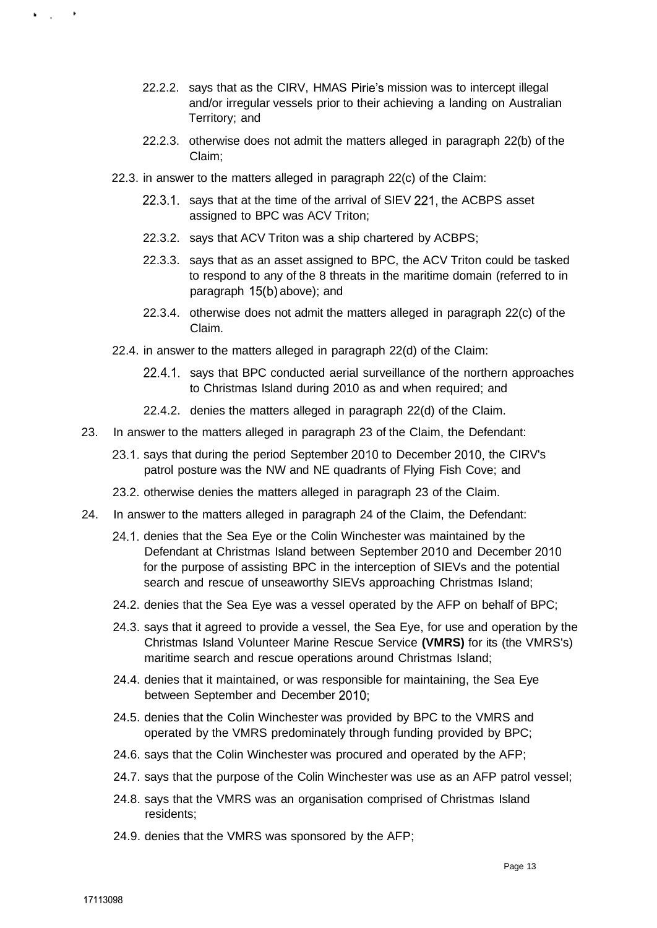- 22.2.2. says that as the CIRV, HMAS Pirie's mission was to intercept illegal and/or irregular vessels prior to their achieving a landing on Australian Territory; and
- 22.2.3. otherwise does not admit the matters alleged in paragraph 22(b) of the Claim;
- 22.3. in answer to the matters alleged in paragraph 22(c) of the Claim:
	- 22.3.1. says that at the time of the arrival of SIEV 221, the ACBPS asset assigned to BPC was ACV Triton;
	- 22.3.2. says that ACV Triton was a ship chartered by ACBPS;
	- 22.3.3. says that as an asset assigned to BPC, the ACV Triton could be tasked to respond to any of the 8 threats in the maritime domain (referred to in paragraph 15(b) above); and
	- 22.3.4. otherwise does not admit the matters alleged in paragraph 22(c) of the Claim.
- 22.4. in answer to the matters alleged in paragraph 22(d) of the Claim:
	- 22.4.1. says that BPC conducted aerial surveillance of the northern approaches to Christmas Island during 2010 as and when required; and
	- 22.4.2. denies the matters alleged in paragraph 22(d) of the Claim.
- 23. In answer to the matters alleged in paragraph 23 of the Claim, the Defendant:
	- 23.1. says that during the period September 2010 to December 2010, the CIRV's patrol posture was the NW and NE quadrants of Flying Fish Cove; and
	- 23.2. otherwise denies the matters alleged in paragraph 23 of the Claim.
- 24. In answer to the matters alleged in paragraph 24 of the Claim, the Defendant:
	- 24.1. denies that the Sea Eye or the Colin Winchester was maintained by the Defendant at Christmas Island between September 2010 and December 2010 for the purpose of assisting BPC in the interception of SIEVs and the potential search and rescue of unseaworthy SIEVs approaching Christmas Island;
	- 24.2. denies that the Sea Eye was a vessel operated by the AFP on behalf of BPC;
	- 24.3. says that it agreed to provide a vessel, the Sea Eye, for use and operation by the Christmas Island Volunteer Marine Rescue Service **(VMRS)** for its (the VMRS's) maritime search and rescue operations around Christmas Island;
	- 24.4. denies that it maintained, or was responsible for maintaining, the Sea Eye between September and December 2010;
	- 24.5. denies that the Colin Winchester was provided by BPC to the VMRS and operated by the VMRS predominately through funding provided by BPC;
	- 24.6. says that the Colin Winchester was procured and operated by the AFP;
	- 24.7. says that the purpose of the Colin Winchester was use as an AFP patrol vessel;
	- 24.8. says that the VMRS was an organisation comprised of Christmas Island residents;
	- 24.9. denies that the VMRS was sponsored by the AFP;

k is a fill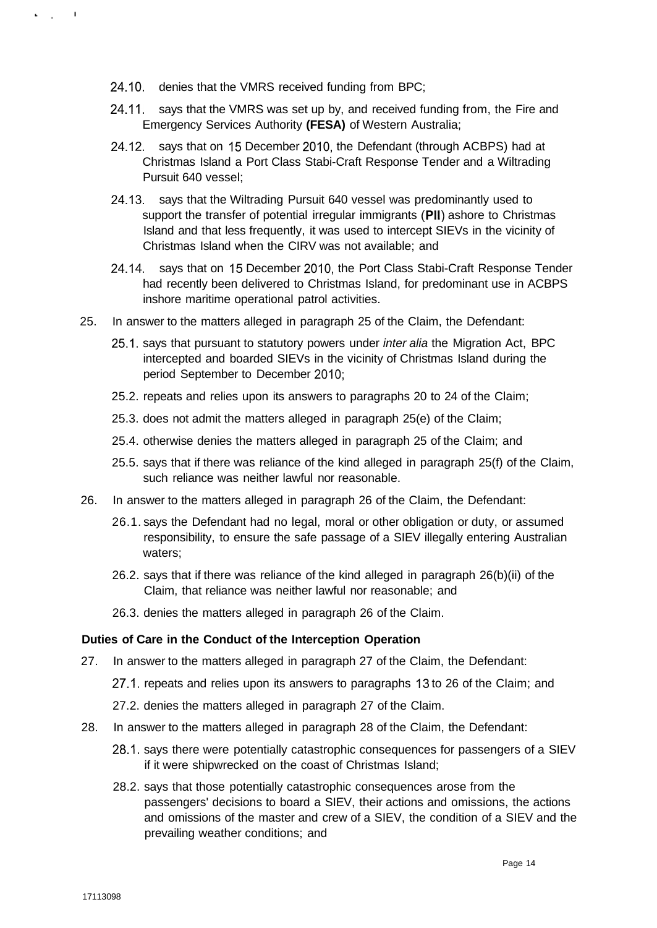- 24.10. denies that the VMRS received funding from BPC;
- 24.11. says that the VMRS was set up by, and received funding from, the Fire and Emergency Services Authority **(FESA)** of Western Australia;
- 24.12. says that on 15 December 2010, the Defendant (through ACBPS) had at Christmas Island a Port Class Stabi-Craft Response Tender and a Wiltrading Pursuit 640 vessel;
- 24.13. says that the Wiltrading Pursuit 640 vessel was predominantly used to support the transfer of potential irregular immigrants **(Pll)** ashore to Christmas Island and that less frequently, it was used to intercept SIEVs in the vicinity of Christmas Island when the CIRV was not available; and
- 24.14. says that on 15 December 2010, the Port Class Stabi-Craft Response Tender had recently been delivered to Christmas Island, for predominant use in ACBPS inshore maritime operational patrol activities.
- 25. In answer to the matters alleged in paragraph 25 of the Claim, the Defendant:
	- 25.1. says that pursuant to statutory powers under inter alia the Migration Act, BPC intercepted and boarded SIEVs in the vicinity of Christmas Island during the period September to December 2010;
	- 25.2. repeats and relies upon its answers to paragraphs 20 to 24 of the Claim;
	- 25.3. does not admit the matters alleged in paragraph 25(e) of the Claim;
	- 25.4. otherwise denies the matters alleged in paragraph 25 of the Claim; and
	- 25.5. says that if there was reliance of the kind alleged in paragraph 25(f) of the Claim, such reliance was neither lawful nor reasonable.
- 26. In answer to the matters alleged in paragraph 26 of the Claim, the Defendant:
	- 26.1. says the Defendant had no legal, moral or other obligation or duty, or assumed responsibility, to ensure the safe passage of a SIEV illegally entering Australian waters;
	- 26.2. says that if there was reliance of the kind alleged in paragraph 26(b)(ii) of the Claim, that reliance was neither lawful nor reasonable; and
	- 26.3. denies the matters alleged in paragraph 26 of the Claim.

## **Duties of Care in the Conduct of the Interception Operation**

- 27. In answer to the matters alleged in paragraph 27 of the Claim, the Defendant:
	- 27.1. repeats and relies upon its answers to paragraphs 13 to 26 of the Claim; and
	- 27.2. denies the matters alleged in paragraph 27 of the Claim.
- 28. In answer to the matters alleged in paragraph 28 of the Claim, the Defendant:
	- 28.1. says there were potentially catastrophic consequences for passengers of a SIEV if it were shipwrecked on the coast of Christmas Island;
	- 28.2. says that those potentially catastrophic consequences arose from the passengers' decisions to board a SIEV, their actions and omissions, the actions and omissions of the master and crew of a SIEV, the condition of a SIEV and the prevailing weather conditions; and

 $\mathcal{L}_{\text{max}}=1$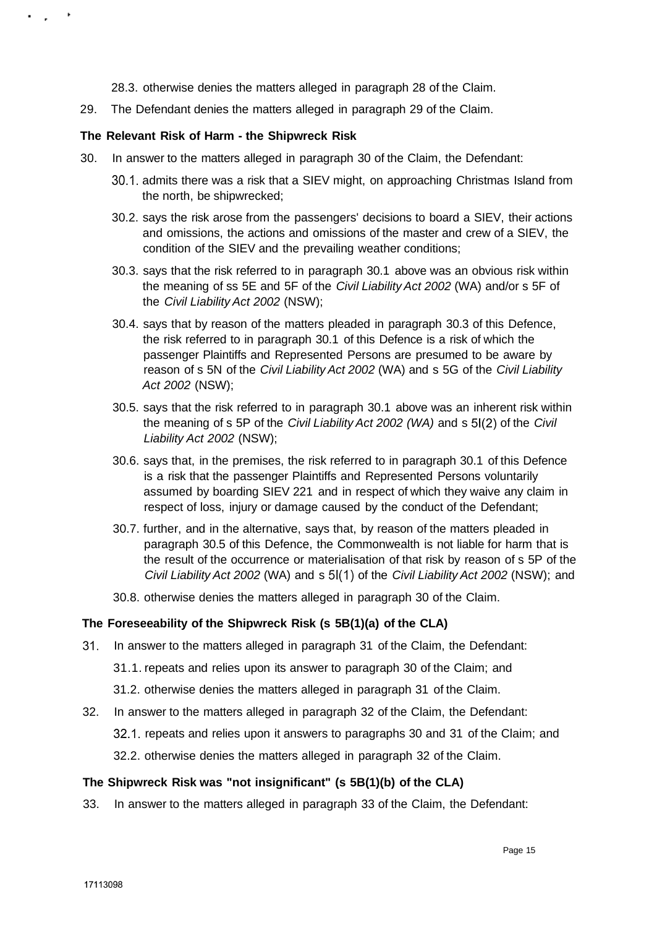28.3. otherwise denies the matters alleged in paragraph 28 of the Claim.

29. The Defendant denies the matters alleged in paragraph 29 of the Claim.

## **The Relevant Risk of Harm - the Shipwreck Risk**

. . . .

- 30. In answer to the matters alleged in paragraph 30 of the Claim, the Defendant:
	- 30.1. admits there was a risk that a SIEV might, on approaching Christmas Island from the north, be shipwrecked;
	- 30.2. says the risk arose from the passengers' decisions to board a SIEV, their actions and omissions, the actions and omissions of the master and crew of a SIEV, the condition of the SIEV and the prevailing weather conditions;
	- 30.3. says that the risk referred to in paragraph 30.1 above was an obvious risk within the meaning of ss 5E and 5F of the Civil Liability Act 2002 (WA) and/or s 5F of the Civil Liability Act 2002 (NSW);
	- 30.4. says that by reason of the matters pleaded in paragraph 30.3 of this Defence, the risk referred to in paragraph 30.1 of this Defence is a risk of which the passenger Plaintiffs and Represented Persons are presumed to be aware by reason of s 5N of the Civil Liability Act 2002 (WA) and s 5G of the Civil Liability Act 2002 (NSW);
	- 30.5. says that the risk referred to in paragraph 30.1 above was an inherent risk within the meaning of s 5P of the Civil Liability Act 2002 (WA) and s 51(2) of the Civil Liability Act 2002 (NSW);
	- 30.6. says that, in the premises, the risk referred to in paragraph 30.1 of this Defence is a risk that the passenger Plaintiffs and Represented Persons voluntarily assumed by boarding SIEV 221 and in respect of which they waive any claim in respect of loss, injury or damage caused by the conduct of the Defendant;
	- 30.7. further, and in the alternative, says that, by reason of the matters pleaded in paragraph 30.5 of this Defence, the Commonwealth is not liable for harm that is the result of the occurrence or materialisation of that risk by reason of s 5P of the Civil Liability Act 2002 (WA) and s 51(1) of the Civil Liability Act 2002 (NSW); and
	- 30.8. otherwise denies the matters alleged in paragraph 30 of the Claim.

## **The Foreseeability of the Shipwreck Risk (s 5B(1)(a) of the CLA)**

- 31. In answer to the matters alleged in paragraph 31 of the Claim, the Defendant:
	- 31.1. repeats and relies upon its answer to paragraph 30 of the Claim; and
	- 31.2. otherwise denies the matters alleged in paragraph 31 of the Claim.
- 32. In answer to the matters alleged in paragraph 32 of the Claim, the Defendant:

32.1. repeats and relies upon it answers to paragraphs 30 and 31 of the Claim; and

32.2. otherwise denies the matters alleged in paragraph 32 of the Claim.

## **The Shipwreck Risk was "not insignificant" (s 5B(1)(b) of the CLA)**

33. In answer to the matters alleged in paragraph 33 of the Claim, the Defendant: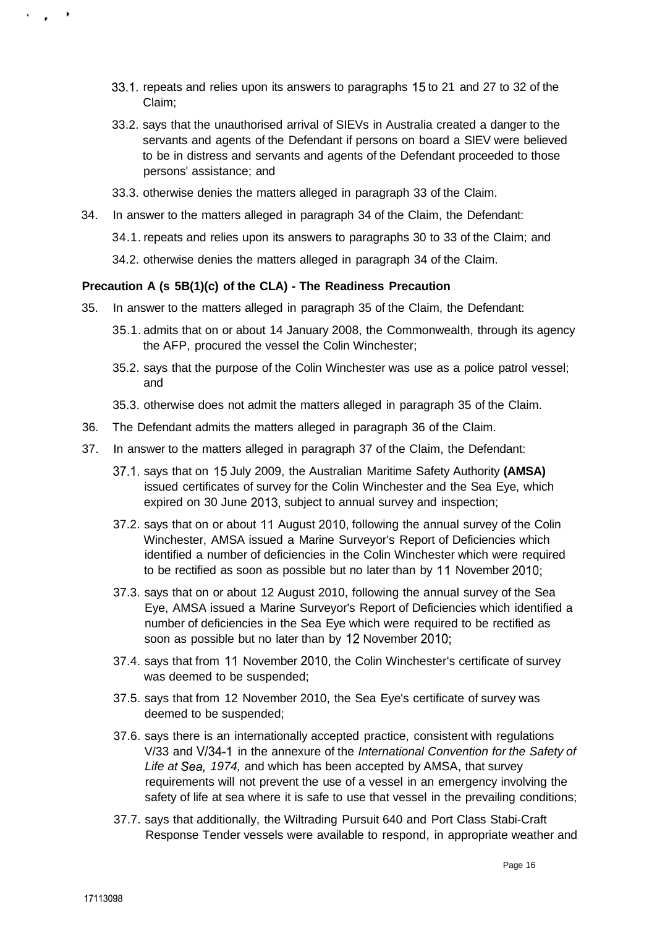- 33.1. repeats and relies upon its answers to paragraphs 15 to 21 and 27 to 32 of the Claim;
- 33.2. says that the unauthorised arrival of SIEVs in Australia created a danger to the servants and agents of the Defendant if persons on board a SIEV were believed to be in distress and servants and agents of the Defendant proceeded to those persons' assistance; and
- 33.3. otherwise denies the matters alleged in paragraph 33 of the Claim.
- 34. In answer to the matters alleged in paragraph 34 of the Claim, the Defendant:
	- 34.1. repeats and relies upon its answers to paragraphs 30 to 33 of the Claim; and
	- 34.2. otherwise denies the matters alleged in paragraph 34 of the Claim.

#### **Precaution A (s 5B(1)(c) of the CLA) - The Readiness Precaution**

- 35. In answer to the matters alleged in paragraph 35 of the Claim, the Defendant:
	- 35.1. admits that on or about 14 January 2008, the Commonwealth, through its agency the AFP, procured the vessel the Colin Winchester;
	- 35.2. says that the purpose of the Colin Winchester was use as a police patrol vessel; and
	- 35.3. otherwise does not admit the matters alleged in paragraph 35 of the Claim.
- 36. The Defendant admits the matters alleged in paragraph 36 of the Claim.
- 37. In answer to the matters alleged in paragraph 37 of the Claim, the Defendant:
	- 37.1. says that on 15 July 2009, the Australian Maritime Safety Authority **(AMSA)**  issued certificates of survey for the Colin Winchester and the Sea Eye, which expired on 30 June 2013, subject to annual survey and inspection;
	- 37.2. says that on or about 11 August 2010, following the annual survey of the Colin Winchester, AMSA issued a Marine Surveyor's Report of Deficiencies which identified a number of deficiencies in the Colin Winchester which were required to be rectified as soon as possible but no later than by 11 November 2010;
	- 37.3. says that on or about 12 August 2010, following the annual survey of the Sea Eye, AMSA issued a Marine Surveyor's Report of Deficiencies which identified a number of deficiencies in the Sea Eye which were required to be rectified as soon as possible but no later than by 12 November 2010;
	- 37.4. says that from 11 November 2010, the Colin Winchester's certificate of survey was deemed to be suspended;
	- 37.5. says that from 12 November 2010, the Sea Eye's certificate of survey was deemed to be suspended;
	- 37.6. says there is an internationally accepted practice, consistent with regulations V/33 and V/34-1 in the annexure of the International Convention for the Safety of Life at Sea, 1974, and which has been accepted by AMSA, that survey requirements will not prevent the use of a vessel in an emergency involving the safety of life at sea where it is safe to use that vessel in the prevailing conditions;
	- 37.7. says that additionally, the Wiltrading Pursuit 640 and Port Class Stabi-Craft Response Tender vessels were available to respond, in appropriate weather and

 $\sim$   $\sim$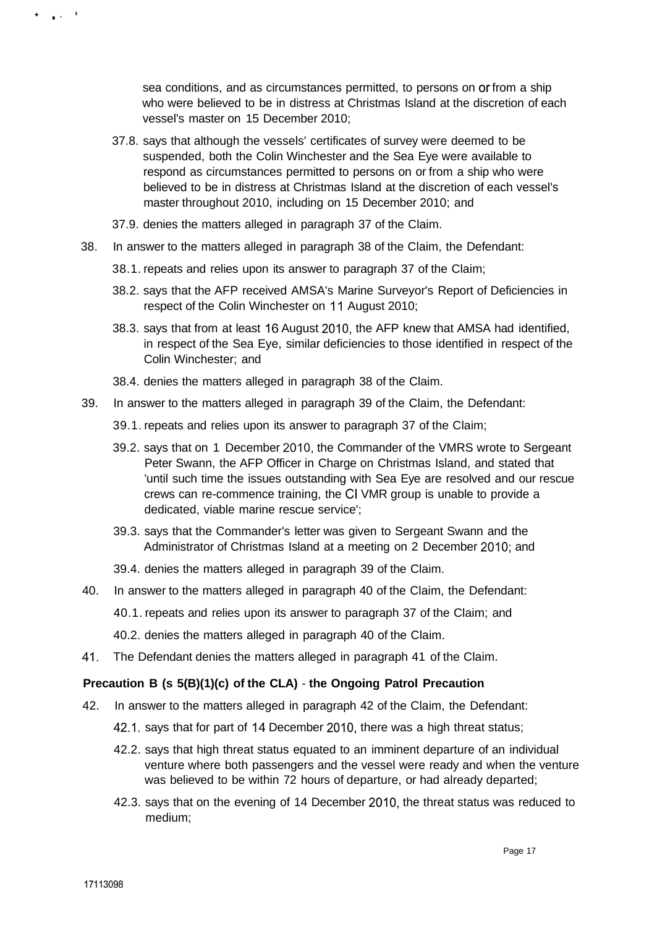sea conditions, and as circumstances permitted, to persons on or from a ship who were believed to be in distress at Christmas Island at the discretion of each vessel's master on 15 December 2010;

- 37.8. says that although the vessels' certificates of survey were deemed to be suspended, both the Colin Winchester and the Sea Eye were available to respond as circumstances permitted to persons on or from a ship who were believed to be in distress at Christmas Island at the discretion of each vessel's master throughout 2010, including on 15 December 2010; and
- 37.9. denies the matters alleged in paragraph 37 of the Claim.
- 38. In answer to the matters alleged in paragraph 38 of the Claim, the Defendant:
	- 38.1. repeats and relies upon its answer to paragraph 37 of the Claim;
	- 38.2. says that the AFP received AMSA's Marine Surveyor's Report of Deficiencies in respect of the Colin Winchester on 11 August 2010;
	- 38.3. says that from at least 16 August 2010, the AFP knew that AMSA had identified, in respect of the Sea Eye, similar deficiencies to those identified in respect of the Colin Winchester; and
	- 38.4. denies the matters alleged in paragraph 38 of the Claim.
- 39. In answer to the matters alleged in paragraph 39 of the Claim, the Defendant:
	- 39.1. repeats and relies upon its answer to paragraph 37 of the Claim;
	- 39.2. says that on 1 December 2010, the Commander of the VMRS wrote to Sergeant Peter Swann, the AFP Officer in Charge on Christmas Island, and stated that 'until such time the issues outstanding with Sea Eye are resolved and our rescue crews can re-commence training, the CI VMR group is unable to provide a dedicated, viable marine rescue service';
	- 39.3. says that the Commander's letter was given to Sergeant Swann and the Administrator of Christmas Island at a meeting on 2 December 2010; and
	- 39.4. denies the matters alleged in paragraph 39 of the Claim.
- 40. In answer to the matters alleged in paragraph 40 of the Claim, the Defendant:
	- 40.1. repeats and relies upon its answer to paragraph 37 of the Claim; and
		- 40.2. denies the matters alleged in paragraph 40 of the Claim.
- 41. The Defendant denies the matters alleged in paragraph 41 of the Claim.

#### **Precaution B (s 5(B)(1)(c) of the CLA)** - **the Ongoing Patrol Precaution**

- 42. In answer to the matters alleged in paragraph 42 of the Claim, the Defendant:
	- 42.1. says that for part of 14 December 2010, there was a high threat status;
	- 42.2. says that high threat status equated to an imminent departure of an individual venture where both passengers and the vessel were ready and when the venture was believed to be within 72 hours of departure, or had already departed;
	- 42.3. says that on the evening of 14 December 2010, the threat status was reduced to medium;

e gant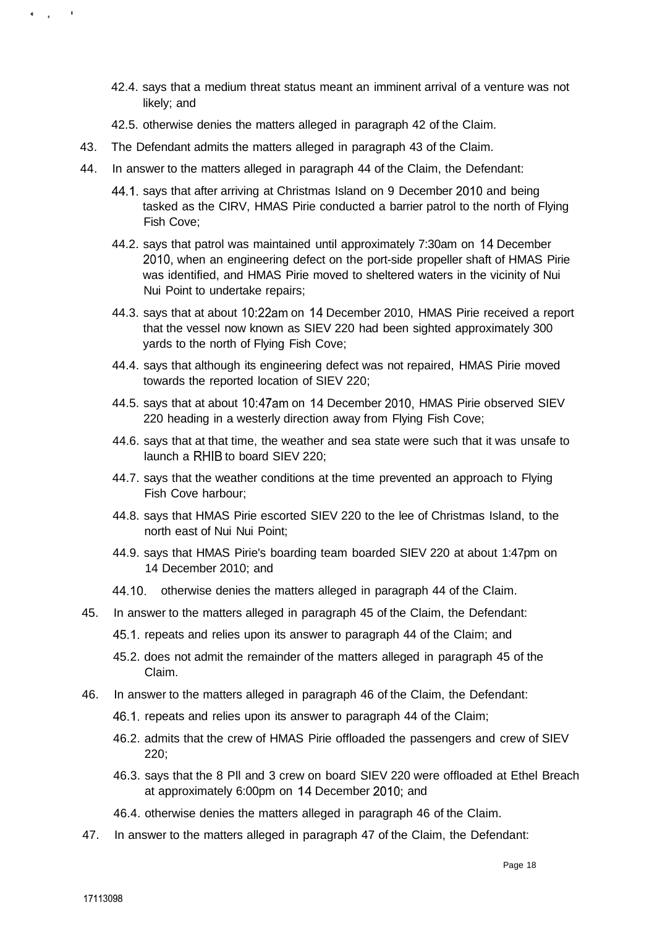- 42.4. says that a medium threat status meant an imminent arrival of a venture was not likely; and
- 42.5. otherwise denies the matters alleged in paragraph 42 of the Claim.
- 43. The Defendant admits the matters alleged in paragraph 43 of the Claim.
- 44. In answer to the matters alleged in paragraph 44 of the Claim, the Defendant:
	- 44.1. says that after arriving at Christmas Island on 9 December 2010 and being tasked as the CIRV, HMAS Pirie conducted a barrier patrol to the north of Flying Fish Cove;
	- 44.2. says that patrol was maintained until approximately 7:30am on 14 December 2010, when an engineering defect on the port-side propeller shaft of HMAS Pirie was identified, and HMAS Pirie moved to sheltered waters in the vicinity of Nui Nui Point to undertake repairs;
	- 44.3. says that at about 10:22am on 14 December 2010, HMAS Pirie received a report that the vessel now known as SIEV 220 had been sighted approximately 300 yards to the north of Flying Fish Cove;
	- 44.4. says that although its engineering defect was not repaired, HMAS Pirie moved towards the reported location of SIEV 220;
	- 44.5. says that at about 10:47am on 14 December 2010, HMAS Pirie observed SIEV 220 heading in a westerly direction away from Flying Fish Cove;
	- 44.6. says that at that time, the weather and sea state were such that it was unsafe to launch a RHIB to board SIEV 220;
	- 44.7. says that the weather conditions at the time prevented an approach to Flying Fish Cove harbour;
	- 44.8. says that HMAS Pirie escorted SIEV 220 to the lee of Christmas Island, to the north east of Nui Nui Point;
	- 44.9. says that HMAS Pirie's boarding team boarded SIEV 220 at about 1:47pm on 14 December 2010; and
	- 44.10. otherwise denies the matters alleged in paragraph 44 of the Claim.
- 45. In answer to the matters alleged in paragraph 45 of the Claim, the Defendant:
	- 45.1. repeats and relies upon its answer to paragraph 44 of the Claim; and
	- 45.2. does not admit the remainder of the matters alleged in paragraph 45 of the Claim.
- 46. In answer to the matters alleged in paragraph 46 of the Claim, the Defendant:
	- 46.1. repeats and relies upon its answer to paragraph 44 of the Claim;
	- 46.2. admits that the crew of HMAS Pirie offloaded the passengers and crew of SIEV 220;
	- 46.3. says that the 8 Pll and 3 crew on board SIEV 220 were offloaded at Ethel Breach at approximately 6:00pm on 14 December 2010; and
	- 46.4. otherwise denies the matters alleged in paragraph 46 of the Claim.
- 47. In answer to the matters alleged in paragraph 47 of the Claim, the Defendant:

6 G. C.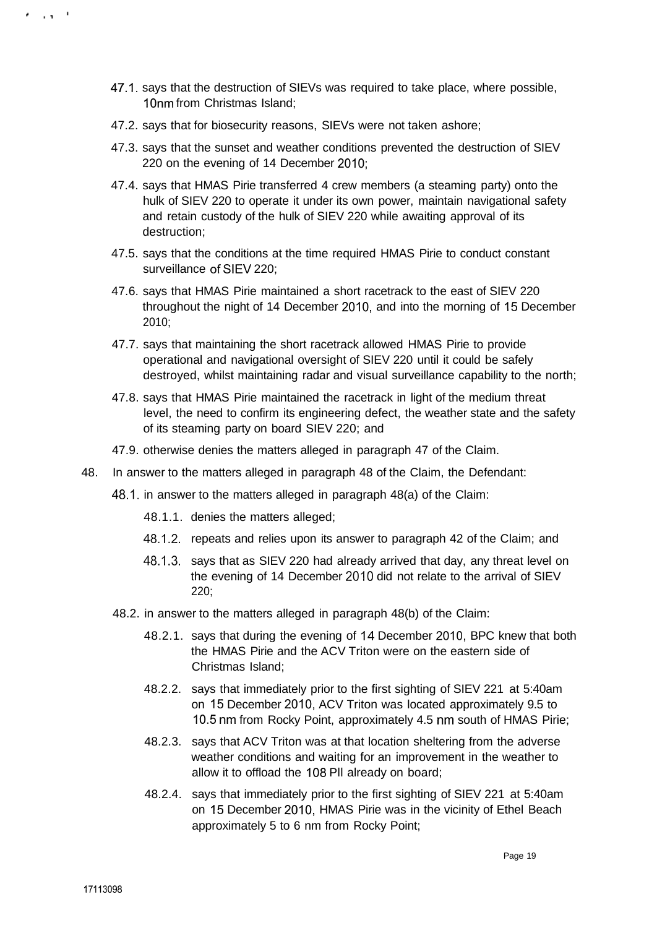- 47.1. says that the destruction of SIEVs was required to take place, where possible, 10nm from Christmas Island;
- 47.2. says that for biosecurity reasons, SIEVs were not taken ashore;
- 47.3. says that the sunset and weather conditions prevented the destruction of SIEV 220 on the evening of 14 December 2010;
- 47.4. says that HMAS Pirie transferred 4 crew members (a steaming party) onto the hulk of SIEV 220 to operate it under its own power, maintain navigational safety and retain custody of the hulk of SIEV 220 while awaiting approval of its destruction;
- 47.5. says that the conditions at the time required HMAS Pirie to conduct constant surveillance of SIEV 220;
- 47.6. says that HMAS Pirie maintained a short racetrack to the east of SIEV 220 throughout the night of 14 December 2010, and into the morning of 15 December 2010;
- 47.7. says that maintaining the short racetrack allowed HMAS Pirie to provide operational and navigational oversight of SIEV 220 until it could be safely destroyed, whilst maintaining radar and visual surveillance capability to the north;
- 47.8. says that HMAS Pirie maintained the racetrack in light of the medium threat level, the need to confirm its engineering defect, the weather state and the safety of its steaming party on board SIEV 220; and
- 47.9. otherwise denies the matters alleged in paragraph 47 of the Claim.
- 48. In answer to the matters alleged in paragraph 48 of the Claim, the Defendant:
	- 48.1. in answer to the matters alleged in paragraph 48(a) of the Claim:
		- 48.1.1. denies the matters alleged;
		- 48.1.2. repeats and relies upon its answer to paragraph 42 of the Claim; and
		- 48.1.3. says that as SIEV 220 had already arrived that day, any threat level on the evening of 14 December 2010 did not relate to the arrival of SIEV 220;
	- 48.2. in answer to the matters alleged in paragraph 48(b) of the Claim:
		- 48.2.1. says that during the evening of 14 December 2010, BPC knew that both the HMAS Pirie and the ACV Triton were on the eastern side of Christmas Island;
		- 48.2.2. says that immediately prior to the first sighting of SIEV 221 at 5:40am on 15 December 2010, ACV Triton was located approximately 9.5 to 10.5 nm from Rocky Point, approximately 4.5 nm south of HMAS Pirie;
		- 48.2.3. says that ACV Triton was at that location sheltering from the adverse weather conditions and waiting for an improvement in the weather to allow it to offload the 108 Pll already on board;
		- 48.2.4. says that immediately prior to the first sighting of SIEV 221 at 5:40am on 15 December 2010, HMAS Pirie was in the vicinity of Ethel Beach approximately 5 to 6 nm from Rocky Point;

. . . . **.**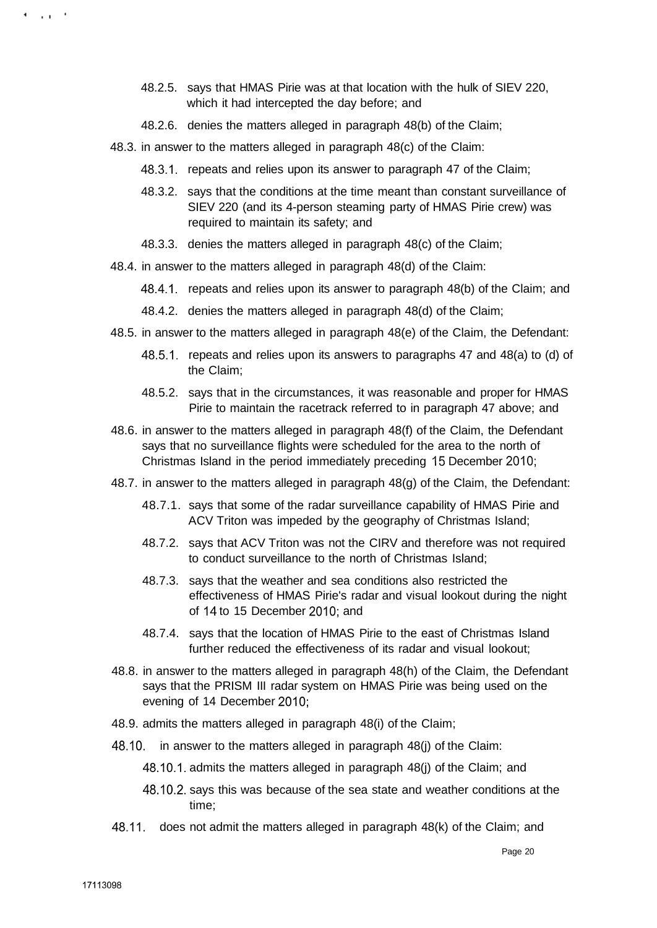- 48.2.5. says that HMAS Pirie was at that location with the hulk of SIEV 220, which it had intercepted the day before; and
- 48.2.6. denies the matters alleged in paragraph 48(b) of the Claim;
- 48.3. in answer to the matters alleged in paragraph 48(c) of the Claim:
	- 48.3.1. repeats and relies upon its answer to paragraph 47 of the Claim;
	- 48.3.2. says that the conditions at the time meant than constant surveillance of SIEV 220 (and its 4-person steaming party of HMAS Pirie crew) was required to maintain its safety; and
	- 48.3.3. denies the matters alleged in paragraph 48(c) of the Claim;
- 48.4. in answer to the matters alleged in paragraph 48(d) of the Claim:
	- 48.4.1. repeats and relies upon its answer to paragraph 48(b) of the Claim; and
	- 48.4.2. denies the matters alleged in paragraph 48(d) of the Claim;
- 48.5. in answer to the matters alleged in paragraph 48(e) of the Claim, the Defendant:
	- 48.5.1. repeats and relies upon its answers to paragraphs 47 and 48(a) to (d) of the Claim;
	- 48.5.2. says that in the circumstances, it was reasonable and proper for HMAS Pirie to maintain the racetrack referred to in paragraph 47 above; and
- 48.6. in answer to the matters alleged in paragraph 48(f) of the Claim, the Defendant says that no surveillance flights were scheduled for the area to the north of Christmas Island in the period immediately preceding 15 December 2010;
- 48.7. in answer to the matters alleged in paragraph 48(g) of the Claim, the Defendant:
	- 48.7.1. says that some of the radar surveillance capability of HMAS Pirie and ACV Triton was impeded by the geography of Christmas Island;
	- 48.7.2. says that ACV Triton was not the CIRV and therefore was not required to conduct surveillance to the north of Christmas Island;
	- 48.7.3. says that the weather and sea conditions also restricted the effectiveness of HMAS Pirie's radar and visual lookout during the night of 14 to 15 December 2010; and
	- 48.7.4. says that the location of HMAS Pirie to the east of Christmas Island further reduced the effectiveness of its radar and visual lookout;
- 48.8. in answer to the matters alleged in paragraph 48(h) of the Claim, the Defendant says that the PRISM III radar system on HMAS Pirie was being used on the evening of 14 December 2010;
- 48.9. admits the matters alleged in paragraph 48(i) of the Claim;
- 48.10. in answer to the matters alleged in paragraph 48(j) of the Claim:
	- 48.10.1. admits the matters alleged in paragraph 48(j) of the Claim; and
	- 48.10.2. says this was because of the sea state and weather conditions at the time;
- 48.11. does not admit the matters alleged in paragraph 48(k) of the Claim; and

4. . . . . 1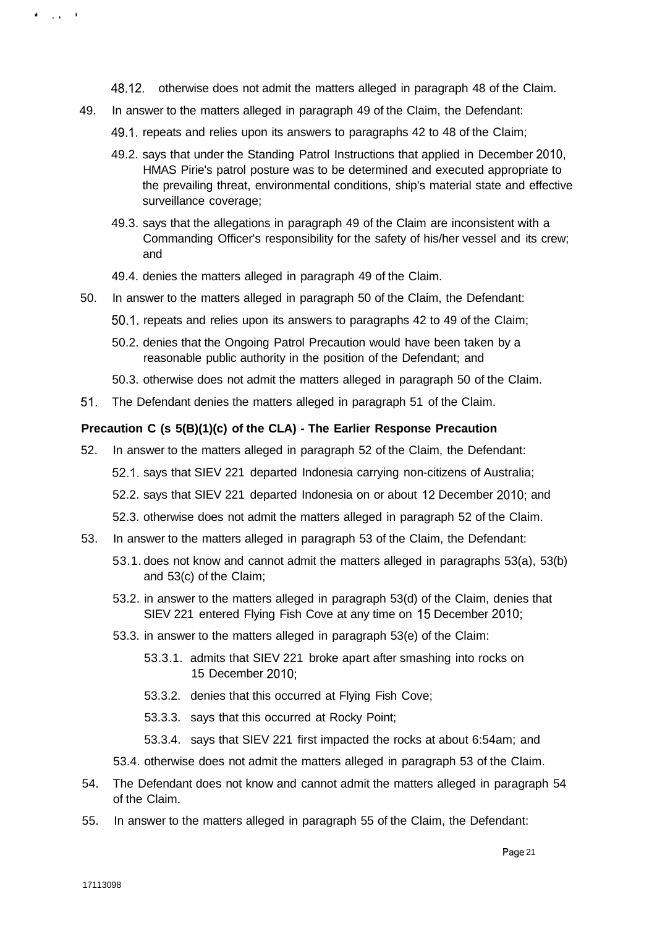- 48.12. otherwise does not admit the matters alleged in paragraph 48 of the Claim.
- 49. In answer to the matters alleged in paragraph 49 of the Claim, the Defendant:
	- 49.1. repeats and relies upon its answers to paragraphs 42 to 48 of the Claim;
	- 49.2. says that under the Standing Patrol Instructions that applied in December 2010, HMAS Pirie's patrol posture was to be determined and executed appropriate to the prevailing threat, environmental conditions, ship's material state and effective surveillance coverage;
	- 49.3. says that the allegations in paragraph 49 of the Claim are inconsistent with a Commanding Officer's responsibility for the safety of his/her vessel and its crew; and
	- 49.4. denies the matters alleged in paragraph 49 of the Claim.
- 50. In answer to the matters alleged in paragraph 50 of the Claim, the Defendant:
	- 50.1. repeats and relies upon its answers to paragraphs 42 to 49 of the Claim;
	- 50.2. denies that the Ongoing Patrol Precaution would have been taken by a reasonable public authority in the position of the Defendant; and
	- 50.3. otherwise does not admit the matters alleged in paragraph 50 of the Claim.
- 51. The Defendant denies the matters alleged in paragraph 51 of the Claim.

## **Precaution C (s 5(B)(1)(c) of the CLA) - The Earlier Response Precaution**

- 52. In answer to the matters alleged in paragraph 52 of the Claim, the Defendant:
	- 52.1. says that SIEV 221 departed Indonesia carrying non-citizens of Australia;
	- 52.2. says that SIEV 221 departed Indonesia on or about 12 December 2010; and
	- 52.3. otherwise does not admit the matters alleged in paragraph 52 of the Claim.
- 53. In answer to the matters alleged in paragraph 53 of the Claim, the Defendant:
	- 53.1. does not know and cannot admit the matters alleged in paragraphs 53(a), 53(b) and 53(c) of the Claim;
	- 53.2. in answer to the matters alleged in paragraph 53(d) of the Claim, denies that SIEV 221 entered Flying Fish Cove at any time on 15 December 2010;
	- 53.3. in answer to the matters alleged in paragraph 53(e) of the Claim:
		- 53.3.1. admits that SIEV 221 broke apart after smashing into rocks on 15 December 2010;
		- 53.3.2. denies that this occurred at Flying Fish Cove;
		- 53.3.3. says that this occurred at Rocky Point;
		- 53.3.4. says that SIEV 221 first impacted the rocks at about 6:54am; and
	- 53.4. otherwise does not admit the matters alleged in paragraph 53 of the Claim.
- 54. The Defendant does not know and cannot admit the matters alleged in paragraph 54 of the Claim.
- 55. In answer to the matters alleged in paragraph 55 of the Claim, the Defendant:

 $\mathbf{r} = \mathbf{r} \cdot \mathbf{r}$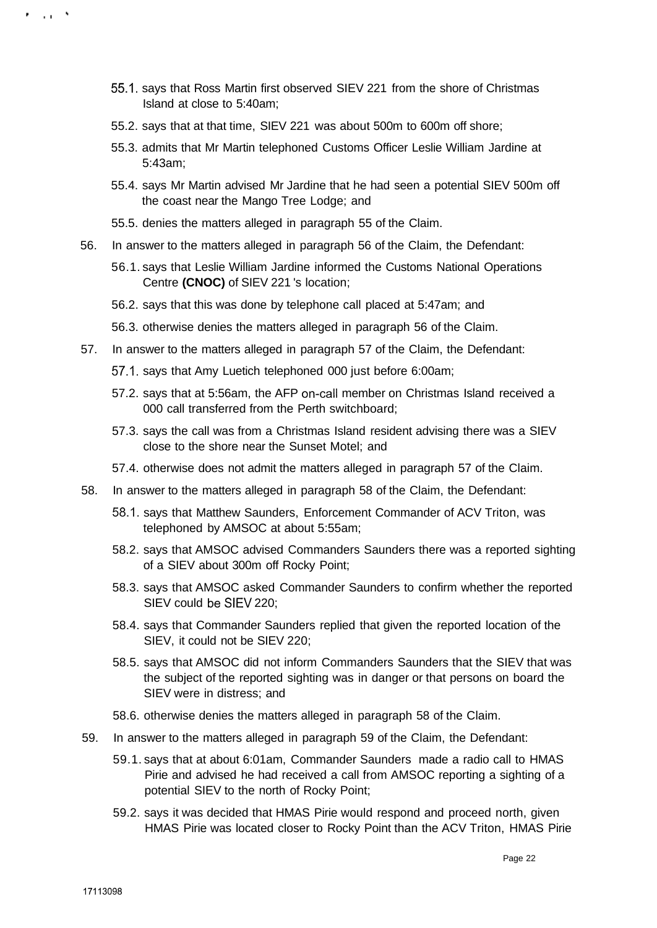- 55.1. says that Ross Martin first observed SIEV 221 from the shore of Christmas Island at close to 5:40am;
- 55.2. says that at that time, SIEV 221 was about 500m to 600m off shore;
- 55.3. admits that Mr Martin telephoned Customs Officer Leslie William Jardine at 5:43am;
- 55.4. says Mr Martin advised Mr Jardine that he had seen a potential SIEV 500m off the coast near the Mango Tree Lodge; and
- 55.5. denies the matters alleged in paragraph 55 of the Claim.
- 56. In answer to the matters alleged in paragraph 56 of the Claim, the Defendant:
	- 56.1. says that Leslie William Jardine informed the Customs National Operations Centre **(CNOC)** of SIEV 221 's location;
	- 56.2. says that this was done by telephone call placed at 5:47am; and
	- 56.3. otherwise denies the matters alleged in paragraph 56 of the Claim.
- 57. In answer to the matters alleged in paragraph 57 of the Claim, the Defendant:
	- 57.1. says that Amy Luetich telephoned 000 just before 6:00am;
	- 57.2. says that at 5:56am, the AFP on-call member on Christmas Island received a 000 call transferred from the Perth switchboard;
	- 57.3. says the call was from a Christmas Island resident advising there was a SIEV close to the shore near the Sunset Motel; and
	- 57.4. otherwise does not admit the matters alleged in paragraph 57 of the Claim.
- 58. In answer to the matters alleged in paragraph 58 of the Claim, the Defendant:
	- 58.1. says that Matthew Saunders, Enforcement Commander of ACV Triton, was telephoned by AMSOC at about 5:55am;
	- 58.2. says that AMSOC advised Commanders Saunders there was a reported sighting of a SIEV about 300m off Rocky Point;
	- 58.3. says that AMSOC asked Commander Saunders to confirm whether the reported SIEV could be SIEV 220;
	- 58.4. says that Commander Saunders replied that given the reported location of the SIEV, it could not be SIEV 220;
	- 58.5. says that AMSOC did not inform Commanders Saunders that the SIEV that was the subject of the reported sighting was in danger or that persons on board the SIEV were in distress; and
	- 58.6. otherwise denies the matters alleged in paragraph 58 of the Claim.
- 59. In answer to the matters alleged in paragraph 59 of the Claim, the Defendant:
	- 59.1. says that at about 6:01am, Commander Saunders made a radio call to HMAS Pirie and advised he had received a call from AMSOC reporting a sighting of a potential SIEV to the north of Rocky Point;
	- 59.2. says it was decided that HMAS Pirie would respond and proceed north, given HMAS Pirie was located closer to Rocky Point than the ACV Triton, HMAS Pirie

. . . .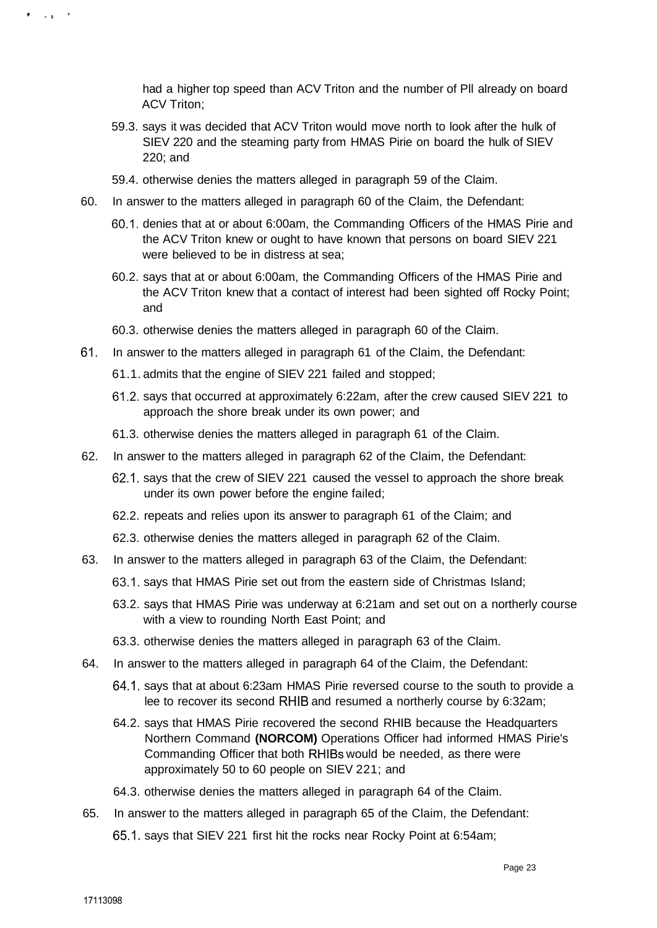had a higher top speed than ACV Triton and the number of Pll already on board ACV Triton;

- 59.3. says it was decided that ACV Triton would move north to look after the hulk of SIEV 220 and the steaming party from HMAS Pirie on board the hulk of SIEV 220; and
- 59.4. otherwise denies the matters alleged in paragraph 59 of the Claim.
- 60. In answer to the matters alleged in paragraph 60 of the Claim, the Defendant:
	- 60.1. denies that at or about 6:00am, the Commanding Officers of the HMAS Pirie and the ACV Triton knew or ought to have known that persons on board SIEV 221 were believed to be in distress at sea;
	- 60.2. says that at or about 6:00am, the Commanding Officers of the HMAS Pirie and the ACV Triton knew that a contact of interest had been sighted off Rocky Point; and
	- 60.3. otherwise denies the matters alleged in paragraph 60 of the Claim.
- 61. In answer to the matters alleged in paragraph 61 of the Claim, the Defendant:
	- 61.1. admits that the engine of SIEV 221 failed and stopped;
	- 61.2. says that occurred at approximately 6:22am, after the crew caused SIEV 221 to approach the shore break under its own power; and
	- 61.3. otherwise denies the matters alleged in paragraph 61 of the Claim.
- 62. In answer to the matters alleged in paragraph 62 of the Claim, the Defendant:
	- 62.1. says that the crew of SIEV 221 caused the vessel to approach the shore break under its own power before the engine failed;
	- 62.2. repeats and relies upon its answer to paragraph 61 of the Claim; and
	- 62.3. otherwise denies the matters alleged in paragraph 62 of the Claim.
- 63. In answer to the matters alleged in paragraph 63 of the Claim, the Defendant:
	- 63.1. says that HMAS Pirie set out from the eastern side of Christmas Island;
	- 63.2. says that HMAS Pirie was underway at 6:21am and set out on a northerly course with a view to rounding North East Point; and
	- 63.3. otherwise denies the matters alleged in paragraph 63 of the Claim.
- 64. In answer to the matters alleged in paragraph 64 of the Claim, the Defendant:
	- 64.1. says that at about 6:23am HMAS Pirie reversed course to the south to provide a lee to recover its second RHIB and resumed a northerly course by 6:32am;
	- 64.2. says that HMAS Pirie recovered the second RHIB because the Headquarters Northern Command **(NORCOM)** Operations Officer had informed HMAS Pirie's Commanding Officer that both RHIBs would be needed, as there were approximately 50 to 60 people on SIEV 221; and
	- 64.3. otherwise denies the matters alleged in paragraph 64 of the Claim.
- 65. In answer to the matters alleged in paragraph 65 of the Claim, the Defendant: 65.1. says that SIEV 221 first hit the rocks near Rocky Point at 6:54am;

**Provide**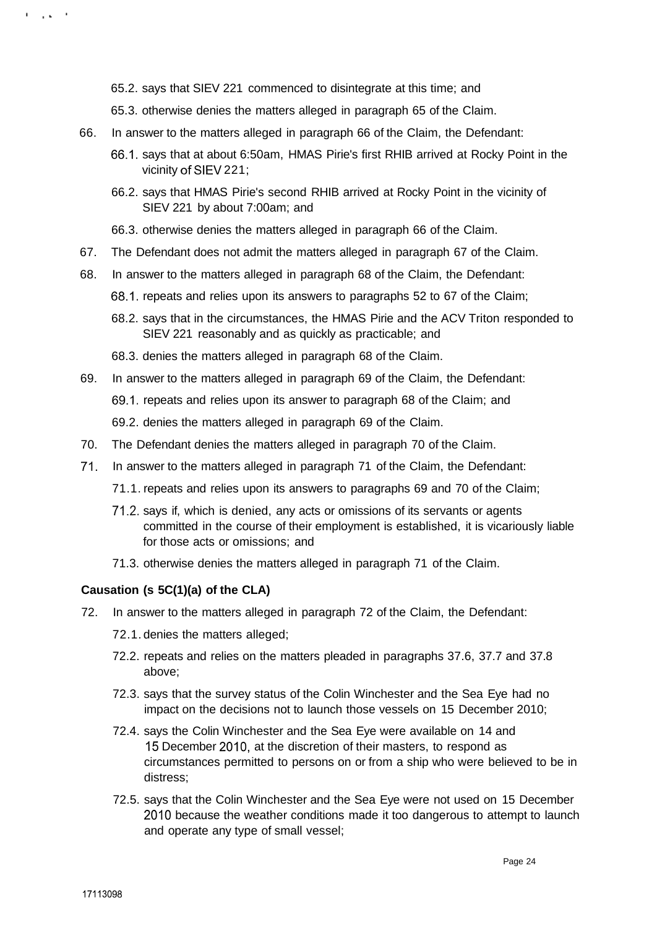65.2. says that SIEV 221 commenced to disintegrate at this time; and

- 65.3. otherwise denies the matters alleged in paragraph 65 of the Claim.
- 66. In answer to the matters alleged in paragraph 66 of the Claim, the Defendant:
	- 66.1. says that at about 6:50am, HMAS Pirie's first RHIB arrived at Rocky Point in the vicinity of SIEV 221;
	- 66.2. says that HMAS Pirie's second RHIB arrived at Rocky Point in the vicinity of SIEV 221 by about 7:00am; and
	- 66.3. otherwise denies the matters alleged in paragraph 66 of the Claim.
- 67. The Defendant does not admit the matters alleged in paragraph 67 of the Claim.
- 68. In answer to the matters alleged in paragraph 68 of the Claim, the Defendant:
	- 68.1. repeats and relies upon its answers to paragraphs 52 to 67 of the Claim;
	- 68.2. says that in the circumstances, the HMAS Pirie and the ACV Triton responded to SIEV 221 reasonably and as quickly as practicable; and
	- 68.3. denies the matters alleged in paragraph 68 of the Claim.
- 69. In answer to the matters alleged in paragraph 69 of the Claim, the Defendant:
	- 69.1. repeats and relies upon its answer to paragraph 68 of the Claim; and
	- 69.2. denies the matters alleged in paragraph 69 of the Claim.
- 70. The Defendant denies the matters alleged in paragraph 70 of the Claim.
- 71. In answer to the matters alleged in paragraph 71 of the Claim, the Defendant:
	- 71.1. repeats and relies upon its answers to paragraphs 69 and 70 of the Claim;
	- 71.2. says if, which is denied, any acts or omissions of its servants or agents committed in the course of their employment is established, it is vicariously liable for those acts or omissions; and
	- 71.3. otherwise denies the matters alleged in paragraph 71 of the Claim.

## **Causation (s 5C(1)(a) of the CLA)**

- 72. In answer to the matters alleged in paragraph 72 of the Claim, the Defendant:
	- 72.1. denies the matters alleged;
	- 72.2. repeats and relies on the matters pleaded in paragraphs 37.6, 37.7 and 37.8 above;
	- 72.3. says that the survey status of the Colin Winchester and the Sea Eye had no impact on the decisions not to launch those vessels on 15 December 2010;
	- 72.4. says the Colin Winchester and the Sea Eye were available on 14 and 15 December 2010, at the discretion of their masters, to respond as circumstances permitted to persons on or from a ship who were believed to be in distress;
	- 72.5. says that the Colin Winchester and the Sea Eye were not used on 15 December 2010 because the weather conditions made it too dangerous to attempt to launch and operate any type of small vessel;

**Contact Pro**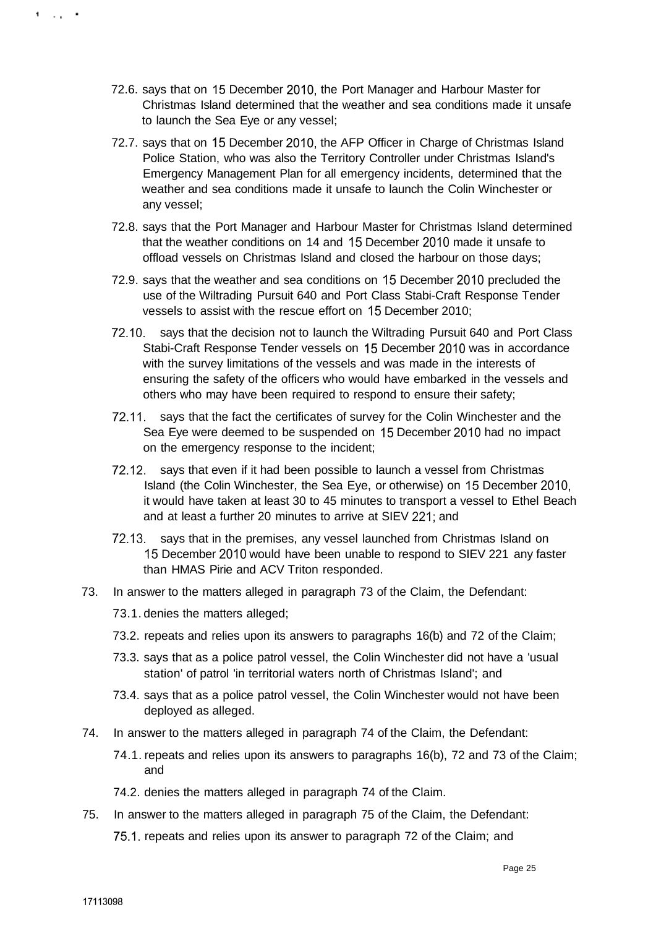- 72.6. says that on 15 December 2010, the Port Manager and Harbour Master for Christmas Island determined that the weather and sea conditions made it unsafe to launch the Sea Eye or any vessel;
- 72.7. says that on 15 December 2010, the AFP Officer in Charge of Christmas Island Police Station, who was also the Territory Controller under Christmas Island's Emergency Management Plan for all emergency incidents, determined that the weather and sea conditions made it unsafe to launch the Colin Winchester or any vessel;
- 72.8. says that the Port Manager and Harbour Master for Christmas Island determined that the weather conditions on 14 and 15 December 2010 made it unsafe to offload vessels on Christmas Island and closed the harbour on those days;
- 72.9. says that the weather and sea conditions on 15 December 2010 precluded the use of the Wiltrading Pursuit 640 and Port Class Stabi-Craft Response Tender vessels to assist with the rescue effort on 15 December 2010;
- 72.10. says that the decision not to launch the Wiltrading Pursuit 640 and Port Class Stabi-Craft Response Tender vessels on 15 December 2010 was in accordance with the survey limitations of the vessels and was made in the interests of ensuring the safety of the officers who would have embarked in the vessels and others who may have been required to respond to ensure their safety;
- 72.11. says that the fact the certificates of survey for the Colin Winchester and the Sea Eye were deemed to be suspended on 15 December 2010 had no impact on the emergency response to the incident;
- 72.12. says that even if it had been possible to launch a vessel from Christmas Island (the Colin Winchester, the Sea Eye, or otherwise) on 15 December 2010, it would have taken at least 30 to 45 minutes to transport a vessel to Ethel Beach and at least a further 20 minutes to arrive at SIEV 221; and
- 72.13. says that in the premises, any vessel launched from Christmas Island on 15 December 2010 would have been unable to respond to SIEV 221 any faster than HMAS Pirie and ACV Triton responded.
- 73. In answer to the matters alleged in paragraph 73 of the Claim, the Defendant:
	- 73.1. denies the matters alleged;
	- 73.2. repeats and relies upon its answers to paragraphs 16(b) and 72 of the Claim;
	- 73.3. says that as a police patrol vessel, the Colin Winchester did not have a 'usual station' of patrol 'in territorial waters north of Christmas Island'; and
	- 73.4. says that as a police patrol vessel, the Colin Winchester would not have been deployed as alleged.
- 74. In answer to the matters alleged in paragraph 74 of the Claim, the Defendant:
	- 74.1. repeats and relies upon its answers to paragraphs 16(b), 72 and 73 of the Claim; and
	- 74.2. denies the matters alleged in paragraph 74 of the Claim.
- 75. In answer to the matters alleged in paragraph 75 of the Claim, the Defendant:

75.1. repeats and relies upon its answer to paragraph 72 of the Claim; and

 $1.1.1$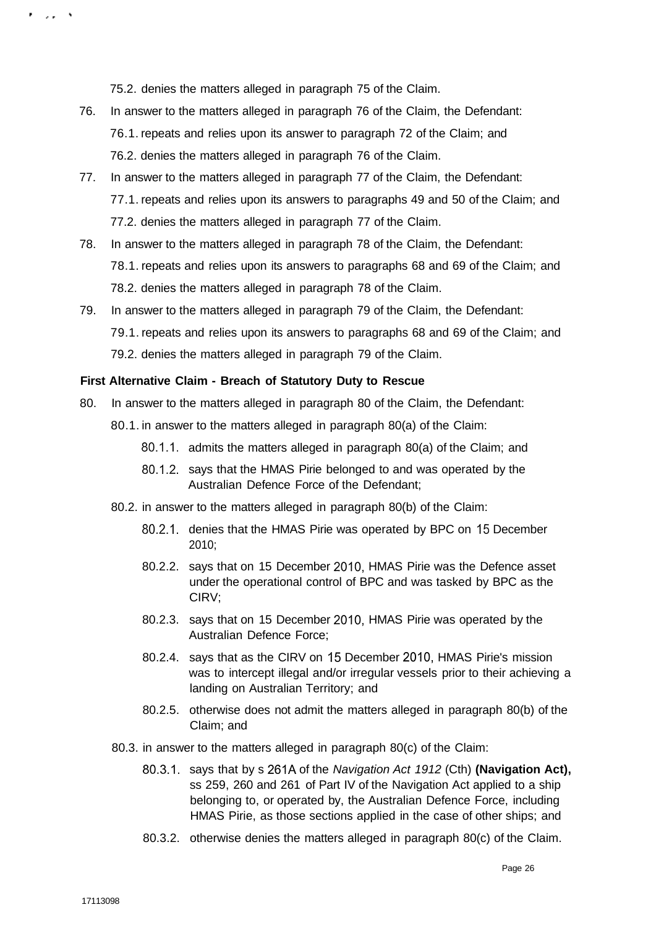75.2. denies the matters alleged in paragraph 75 of the Claim.

- 76. In answer to the matters alleged in paragraph 76 of the Claim, the Defendant: 76.1. repeats and relies upon its answer to paragraph 72 of the Claim; and 76.2. denies the matters alleged in paragraph 76 of the Claim.
- 77. In answer to the matters alleged in paragraph 77 of the Claim, the Defendant: 77.1. repeats and relies upon its answers to paragraphs 49 and 50 of the Claim; and 77.2. denies the matters alleged in paragraph 77 of the Claim.
- 78. In answer to the matters alleged in paragraph 78 of the Claim, the Defendant: 78.1. repeats and relies upon its answers to paragraphs 68 and 69 of the Claim; and 78.2. denies the matters alleged in paragraph 78 of the Claim.
- 79. In answer to the matters alleged in paragraph 79 of the Claim, the Defendant: 79.1. repeats and relies upon its answers to paragraphs 68 and 69 of the Claim; and 79.2. denies the matters alleged in paragraph 79 of the Claim.

#### **First Alternative Claim - Breach of Statutory Duty to Rescue**

- 80. In answer to the matters alleged in paragraph 80 of the Claim, the Defendant:
	- 80.1. in answer to the matters alleged in paragraph 80(a) of the Claim:
		- 80.1.1. admits the matters alleged in paragraph 80(a) of the Claim; and
		- 80.1.2. says that the HMAS Pirie belonged to and was operated by the Australian Defence Force of the Defendant;
	- 80.2. in answer to the matters alleged in paragraph 80(b) of the Claim:
		- 80.2.1. denies that the HMAS Pirie was operated by BPC on 15 December 2010;
		- 80.2.2. says that on 15 December 2010, HMAS Pirie was the Defence asset under the operational control of BPC and was tasked by BPC as the CIRV;
		- 80.2.3. says that on 15 December 2010, HMAS Pirie was operated by the Australian Defence Force;
		- 80.2.4. says that as the CIRV on 15 December 2010, HMAS Pirie's mission was to intercept illegal and/or irregular vessels prior to their achieving a landing on Australian Territory; and
		- 80.2.5. otherwise does not admit the matters alleged in paragraph 80(b) of the Claim; and
	- 80.3. in answer to the matters alleged in paragraph 80(c) of the Claim:
		- 80.3.1. says that by s 261A of the Navigation Act 1912 (Cth) **(Navigation Act),**  ss 259, 260 and 261 of Part IV of the Navigation Act applied to a ship belonging to, or operated by, the Australian Defence Force, including HMAS Pirie, as those sections applied in the case of other ships; and
		- 80.3.2. otherwise denies the matters alleged in paragraph 80(c) of the Claim.

e sa s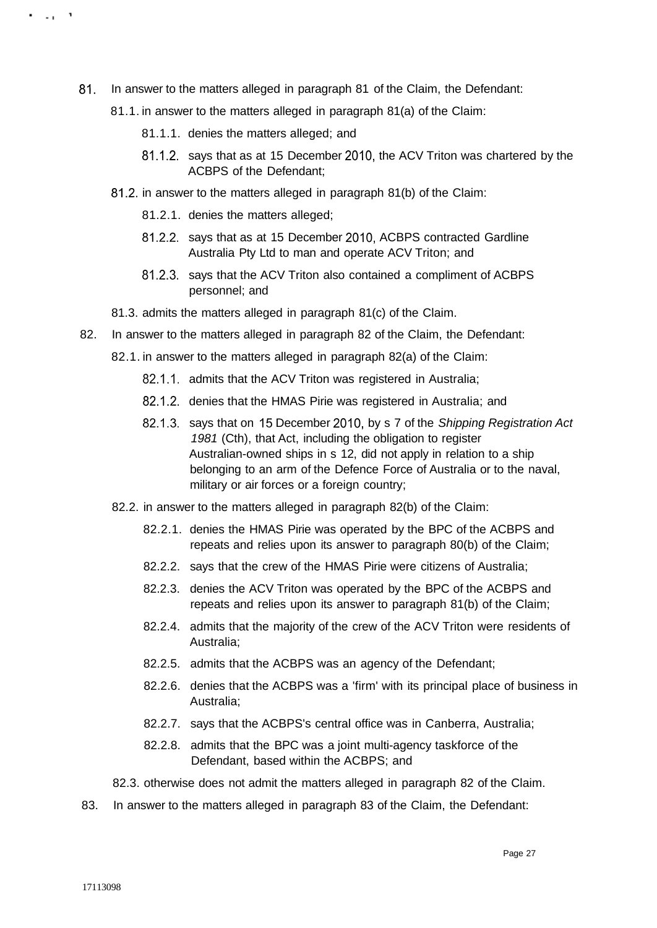- 81. In answer to the matters alleged in paragraph 81 of the Claim, the Defendant:
	- 81.1. in answer to the matters alleged in paragraph 81(a) of the Claim:
		- 81.1.1. denies the matters alleged; and
		- 81.1.2. says that as at 15 December 2010, the ACV Triton was chartered by the ACBPS of the Defendant;
	- 81.2. in answer to the matters alleged in paragraph 81(b) of the Claim:
		- 81.2.1. denies the matters alleged;
		- 81.2.2. says that as at 15 December 2010, ACBPS contracted Gardline Australia Pty Ltd to man and operate ACV Triton; and
		- 81.2.3. says that the ACV Triton also contained a compliment of ACBPS personnel; and
	- 81.3. admits the matters alleged in paragraph 81(c) of the Claim.
- 82. In answer to the matters alleged in paragraph 82 of the Claim, the Defendant:
	- 82.1. in answer to the matters alleged in paragraph 82(a) of the Claim:
		- 82.1.1. admits that the ACV Triton was registered in Australia;
		- 82.1.2. denies that the HMAS Pirie was registered in Australia; and
		- 82.1.3. says that on 15 December 2010, by s 7 of the Shipping Registration Act 1981 (Cth), that Act, including the obligation to register Australian-owned ships in s 12, did not apply in relation to a ship belonging to an arm of the Defence Force of Australia or to the naval, military or air forces or a foreign country;
	- 82.2. in answer to the matters alleged in paragraph 82(b) of the Claim:
		- 82.2.1. denies the HMAS Pirie was operated by the BPC of the ACBPS and repeats and relies upon its answer to paragraph 80(b) of the Claim;
		- 82.2.2. says that the crew of the HMAS Pirie were citizens of Australia;
		- 82.2.3. denies the ACV Triton was operated by the BPC of the ACBPS and repeats and relies upon its answer to paragraph 81(b) of the Claim;
		- 82.2.4. admits that the majority of the crew of the ACV Triton were residents of Australia;
		- 82.2.5. admits that the ACBPS was an agency of the Defendant;
		- 82.2.6. denies that the ACBPS was a 'firm' with its principal place of business in Australia;
		- 82.2.7. says that the ACBPS's central office was in Canberra, Australia;
		- 82.2.8. admits that the BPC was a joint multi-agency taskforce of the Defendant, based within the ACBPS; and

82.3. otherwise does not admit the matters alleged in paragraph 82 of the Claim.

83. In answer to the matters alleged in paragraph 83 of the Claim, the Defendant:

. ., .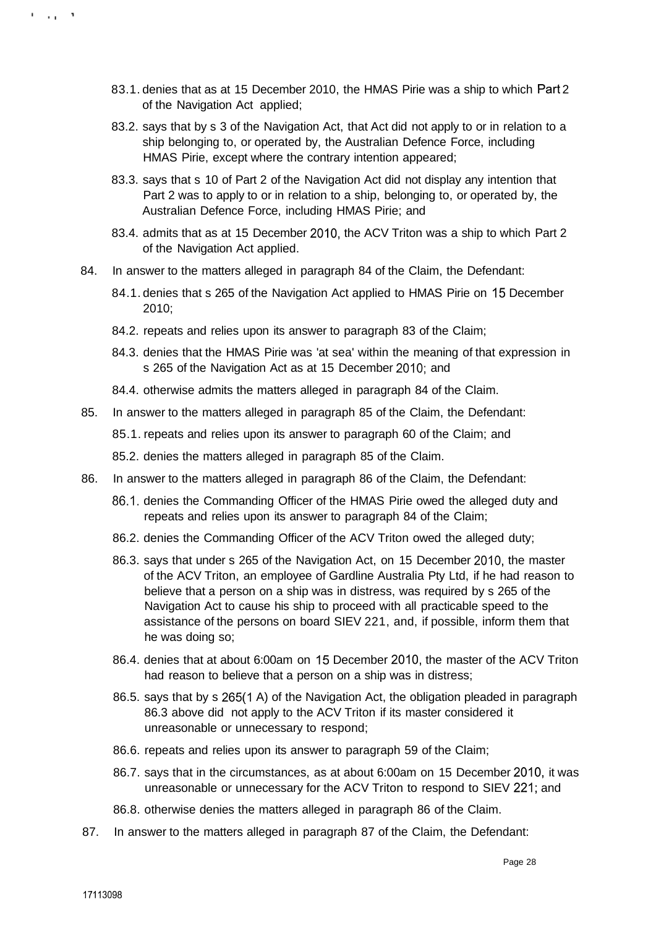- 83.1. denies that as at 15 December 2010, the HMAS Pirie was a ship to which Part 2 of the Navigation Act applied;
- 83.2. says that by s 3 of the Navigation Act, that Act did not apply to or in relation to a ship belonging to, or operated by, the Australian Defence Force, including HMAS Pirie, except where the contrary intention appeared;
- 83.3. says that s 10 of Part 2 of the Navigation Act did not display any intention that Part 2 was to apply to or in relation to a ship, belonging to, or operated by, the Australian Defence Force, including HMAS Pirie; and
- 83.4. admits that as at 15 December 2010, the ACV Triton was a ship to which Part 2 of the Navigation Act applied.
- 84. In answer to the matters alleged in paragraph 84 of the Claim, the Defendant:
	- 84.1. denies that s 265 of the Navigation Act applied to HMAS Pirie on 15 December 2010;
	- 84.2. repeats and relies upon its answer to paragraph 83 of the Claim;
	- 84.3. denies that the HMAS Pirie was 'at sea' within the meaning of that expression in s 265 of the Navigation Act as at 15 December 2010; and
	- 84.4. otherwise admits the matters alleged in paragraph 84 of the Claim.
- 85. In answer to the matters alleged in paragraph 85 of the Claim, the Defendant:
	- 85.1. repeats and relies upon its answer to paragraph 60 of the Claim; and
	- 85.2. denies the matters alleged in paragraph 85 of the Claim.
- 86. In answer to the matters alleged in paragraph 86 of the Claim, the Defendant:
	- 86.1. denies the Commanding Officer of the HMAS Pirie owed the alleged duty and repeats and relies upon its answer to paragraph 84 of the Claim;
	- 86.2. denies the Commanding Officer of the ACV Triton owed the alleged duty;
	- 86.3. says that under s 265 of the Navigation Act, on 15 December 2010, the master of the ACV Triton, an employee of Gardline Australia Pty Ltd, if he had reason to believe that a person on a ship was in distress, was required by s 265 of the Navigation Act to cause his ship to proceed with all practicable speed to the assistance of the persons on board SIEV 221, and, if possible, inform them that he was doing so;
	- 86.4. denies that at about 6:00am on 15 December 2010, the master of the ACV Triton had reason to believe that a person on a ship was in distress;
	- 86.5. says that by s 265(1 A) of the Navigation Act, the obligation pleaded in paragraph 86.3 above did not apply to the ACV Triton if its master considered it unreasonable or unnecessary to respond;
	- 86.6. repeats and relies upon its answer to paragraph 59 of the Claim;
	- 86.7. says that in the circumstances, as at about 6:00am on 15 December 2010, it was unreasonable or unnecessary for the ACV Triton to respond to SIEV 221; and
	- 86.8. otherwise denies the matters alleged in paragraph 86 of the Claim.
- 87. In answer to the matters alleged in paragraph 87 of the Claim, the Defendant:

the property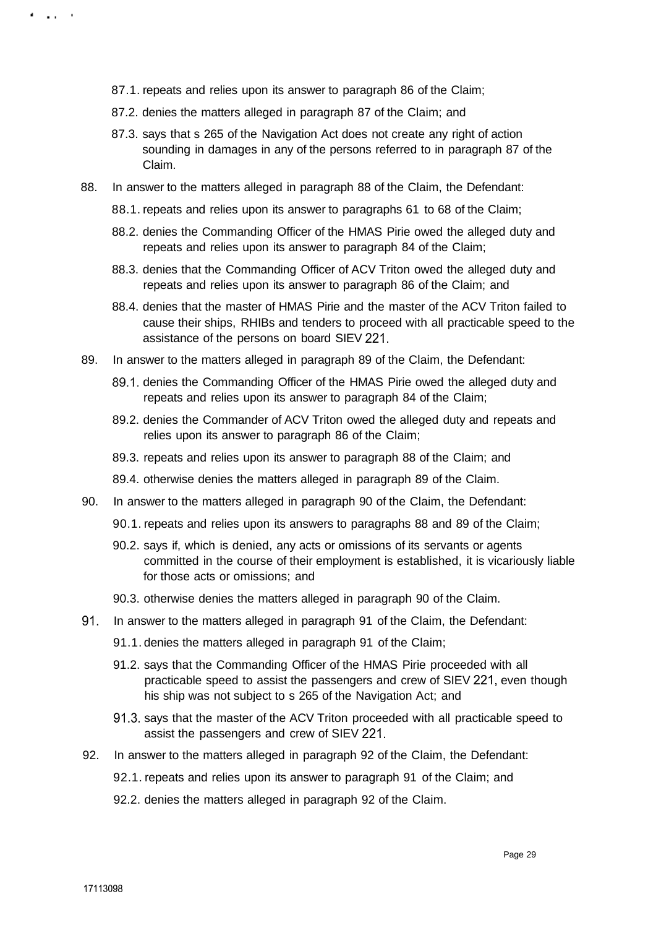- 87.1. repeats and relies upon its answer to paragraph 86 of the Claim;
- 87.2. denies the matters alleged in paragraph 87 of the Claim; and
- 87.3. says that s 265 of the Navigation Act does not create any right of action sounding in damages in any of the persons referred to in paragraph 87 of the Claim.
- 88. In answer to the matters alleged in paragraph 88 of the Claim, the Defendant:
	- 88.1. repeats and relies upon its answer to paragraphs 61 to 68 of the Claim;
	- 88.2. denies the Commanding Officer of the HMAS Pirie owed the alleged duty and repeats and relies upon its answer to paragraph 84 of the Claim;
	- 88.3. denies that the Commanding Officer of ACV Triton owed the alleged duty and repeats and relies upon its answer to paragraph 86 of the Claim; and
	- 88.4. denies that the master of HMAS Pirie and the master of the ACV Triton failed to cause their ships, RHIBs and tenders to proceed with all practicable speed to the assistance of the persons on board SIEV 221.
- 89. In answer to the matters alleged in paragraph 89 of the Claim, the Defendant:
	- 89.1. denies the Commanding Officer of the HMAS Pirie owed the alleged duty and repeats and relies upon its answer to paragraph 84 of the Claim;
	- 89.2. denies the Commander of ACV Triton owed the alleged duty and repeats and relies upon its answer to paragraph 86 of the Claim;
	- 89.3. repeats and relies upon its answer to paragraph 88 of the Claim; and
	- 89.4. otherwise denies the matters alleged in paragraph 89 of the Claim.
- 90. In answer to the matters alleged in paragraph 90 of the Claim, the Defendant:
	- 90.1. repeats and relies upon its answers to paragraphs 88 and 89 of the Claim;
	- 90.2. says if, which is denied, any acts or omissions of its servants or agents committed in the course of their employment is established, it is vicariously liable for those acts or omissions; and
	- 90.3. otherwise denies the matters alleged in paragraph 90 of the Claim.
- 91. In answer to the matters alleged in paragraph 91 of the Claim, the Defendant:
	- 91.1. denies the matters alleged in paragraph 91 of the Claim;
	- 91.2. says that the Commanding Officer of the HMAS Pirie proceeded with all practicable speed to assist the passengers and crew of SIEV 221, even though his ship was not subject to s 265 of the Navigation Act; and
	- 91.3. says that the master of the ACV Triton proceeded with all practicable speed to assist the passengers and crew of SIEV 221.
- 92. In answer to the matters alleged in paragraph 92 of the Claim, the Defendant:
	- 92.1. repeats and relies upon its answer to paragraph 91 of the Claim; and
	- 92.2. denies the matters alleged in paragraph 92 of the Claim.

. . . . .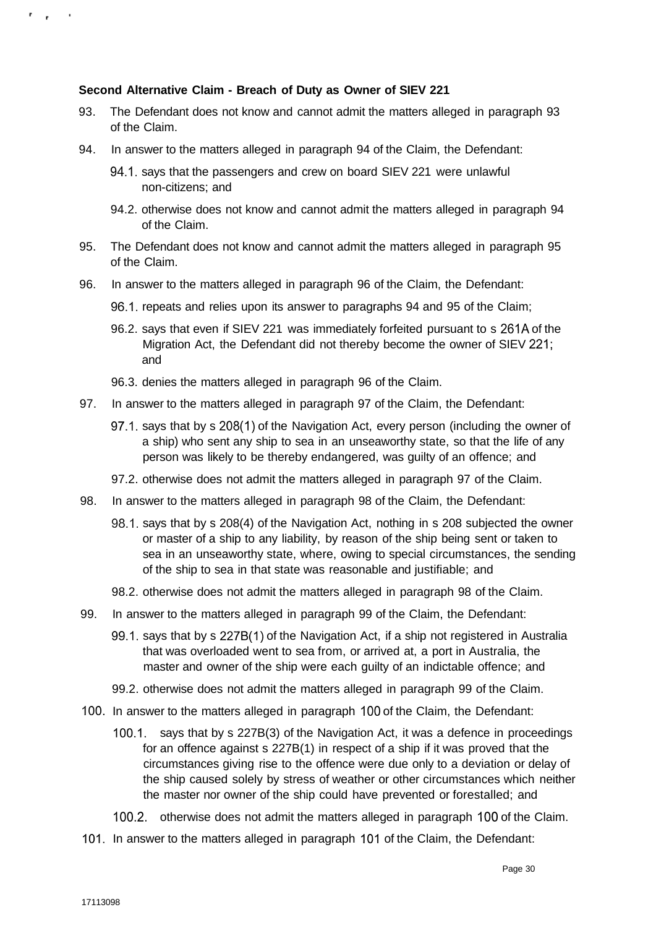## **Second Alternative Claim - Breach of Duty as Owner of SIEV 221**

- 93. The Defendant does not know and cannot admit the matters alleged in paragraph 93 of the Claim.
- 94. In answer to the matters alleged in paragraph 94 of the Claim, the Defendant:
	- 94.1. says that the passengers and crew on board SIEV 221 were unlawful non-citizens; and
	- 94.2. otherwise does not know and cannot admit the matters alleged in paragraph 94 of the Claim.
- 95. The Defendant does not know and cannot admit the matters alleged in paragraph 95 of the Claim.
- 96. In answer to the matters alleged in paragraph 96 of the Claim, the Defendant:
	- 96.1. repeats and relies upon its answer to paragraphs 94 and 95 of the Claim;
	- 96.2. says that even if SIEV 221 was immediately forfeited pursuant to s 261A of the Migration Act, the Defendant did not thereby become the owner of SIEV 221; and
	- 96.3. denies the matters alleged in paragraph 96 of the Claim.
- 97. In answer to the matters alleged in paragraph 97 of the Claim, the Defendant:
	- 97.1. says that by s 208(1) of the Navigation Act, every person (including the owner of a ship) who sent any ship to sea in an unseaworthy state, so that the life of any person was likely to be thereby endangered, was guilty of an offence; and
	- 97.2. otherwise does not admit the matters alleged in paragraph 97 of the Claim.
- 98. In answer to the matters alleged in paragraph 98 of the Claim, the Defendant:
	- 98.1. says that by s 208(4) of the Navigation Act, nothing in s 208 subjected the owner or master of a ship to any liability, by reason of the ship being sent or taken to sea in an unseaworthy state, where, owing to special circumstances, the sending of the ship to sea in that state was reasonable and justifiable; and
	- 98.2. otherwise does not admit the matters alleged in paragraph 98 of the Claim.
- 99. In answer to the matters alleged in paragraph 99 of the Claim, the Defendant:
	- 99.1. says that by s 227B(1) of the Navigation Act, if a ship not registered in Australia that was overloaded went to sea from, or arrived at, a port in Australia, the master and owner of the ship were each guilty of an indictable offence; and
	- 99.2. otherwise does not admit the matters alleged in paragraph 99 of the Claim.
- 100. In answer to the matters alleged in paragraph 100 of the Claim, the Defendant:
	- 100.1. says that by s 227B(3) of the Navigation Act, it was a defence in proceedings for an offence against s 227B(1) in respect of a ship if it was proved that the circumstances giving rise to the offence were due only to a deviation or delay of the ship caused solely by stress of weather or other circumstances which neither the master nor owner of the ship could have prevented or forestalled; and
	- 100.2. otherwise does not admit the matters alleged in paragraph 100 of the Claim.
- 101. In answer to the matters alleged in paragraph 101 of the Claim, the Defendant:

n y l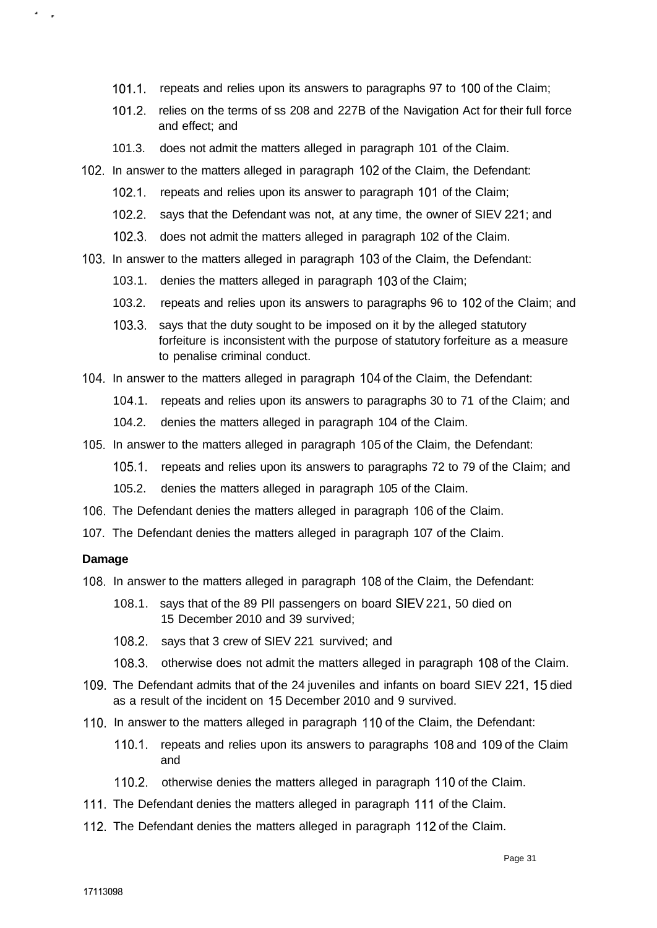- 101.1. repeats and relies upon its answers to paragraphs 97 to 100 of the Claim;
- 101.2. relies on the terms of ss 208 and 227B of the Navigation Act for their full force and effect; and
- 101.3. does not admit the matters alleged in paragraph 101 of the Claim.
- 102. In answer to the matters alleged in paragraph 102 of the Claim, the Defendant:
	- 102.1. repeats and relies upon its answer to paragraph 101 of the Claim;
	- 102.2. says that the Defendant was not, at any time, the owner of SIEV 221; and
	- 102.3. does not admit the matters alleged in paragraph 102 of the Claim.
- 103. In answer to the matters alleged in paragraph 103 of the Claim, the Defendant:
	- 103.1. denies the matters alleged in paragraph 103 of the Claim;
	- 103.2. repeats and relies upon its answers to paragraphs 96 to 102 of the Claim; and
	- 103.3. says that the duty sought to be imposed on it by the alleged statutory forfeiture is inconsistent with the purpose of statutory forfeiture as a measure to penalise criminal conduct.
- 104. In answer to the matters alleged in paragraph 104 of the Claim, the Defendant:
	- 104.1. repeats and relies upon its answers to paragraphs 30 to 71 of the Claim; and
	- 104.2. denies the matters alleged in paragraph 104 of the Claim.
- 105. In answer to the matters alleged in paragraph 105 of the Claim, the Defendant:
	- 105.1. repeats and relies upon its answers to paragraphs 72 to 79 of the Claim; and
	- 105.2. denies the matters alleged in paragraph 105 of the Claim.
- 106. The Defendant denies the matters alleged in paragraph 106 of the Claim.
- 107. The Defendant denies the matters alleged in paragraph 107 of the Claim.

### **Damage**

٠

- 108. In answer to the matters alleged in paragraph 108 of the Claim, the Defendant:
	- 108.1. says that of the 89 Pll passengers on board SIEV 221, 50 died on 15 December 2010 and 39 survived;
	- 108.2. says that 3 crew of SIEV 221 survived; and
	- 108.3. otherwise does not admit the matters alleged in paragraph 108 of the Claim.
- 109. The Defendant admits that of the 24 juveniles and infants on board SIEV 221, 15 died as a result of the incident on 15 December 2010 and 9 survived.
- 110. In answer to the matters alleged in paragraph 110 of the Claim, the Defendant:
	- 110.1. repeats and relies upon its answers to paragraphs 108 and 109 of the Claim and
	- 110.2. otherwise denies the matters alleged in paragraph 110 of the Claim.
- 111. The Defendant denies the matters alleged in paragraph 111 of the Claim.
- 112. The Defendant denies the matters alleged in paragraph 112 of the Claim.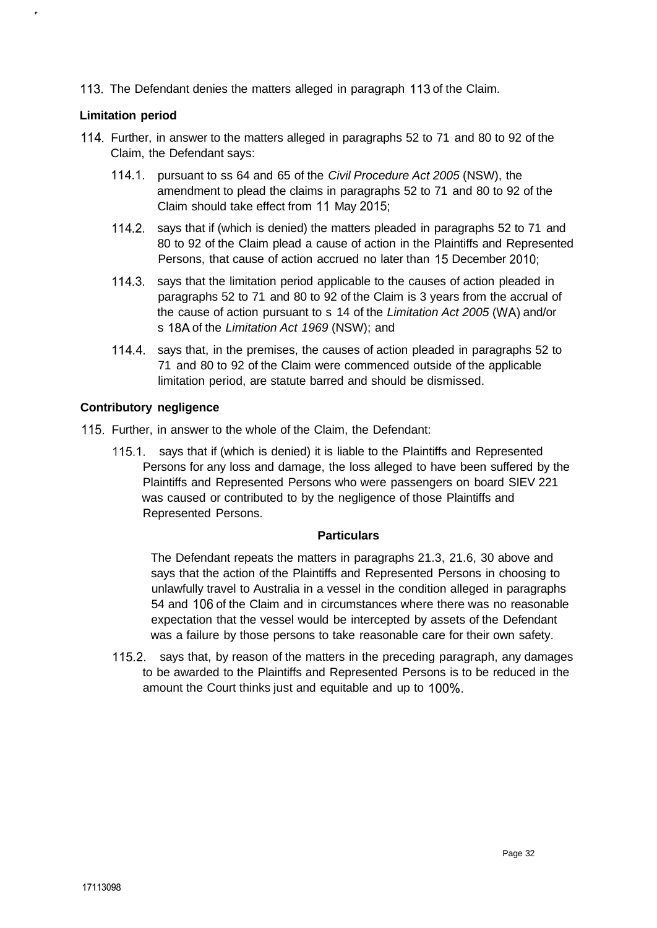113. The Defendant denies the matters alleged in paragraph 113 of the Claim.

## **Limitation period**

- 114. Further, in answer to the matters alleged in paragraphs 52 to 71 and 80 to 92 of the Claim, the Defendant says:
	- 114.1. pursuant to ss 64 and 65 of the Civil Procedure Act 2005 (NSW), the amendment to plead the claims in paragraphs 52 to 71 and 80 to 92 of the Claim should take effect from 11 May 2015;
	- 114.2. says that if (which is denied) the matters pleaded in paragraphs 52 to 71 and 80 to 92 of the Claim plead a cause of action in the Plaintiffs and Represented Persons, that cause of action accrued no later than 15 December 2010;
	- 114.3. says that the limitation period applicable to the causes of action pleaded in paragraphs 52 to 71 and 80 to 92 of the Claim is 3 years from the accrual of the cause of action pursuant to s 14 of the Limitation Act 2005 (WA) and/or s 18A of the Limitation Act 1969 (NSW); and
	- 114.4. says that, in the premises, the causes of action pleaded in paragraphs 52 to 71 and 80 to 92 of the Claim were commenced outside of the applicable limitation period, are statute barred and should be dismissed.

## **Contributory negligence**

- 115. Further, in answer to the whole of the Claim, the Defendant:
	- 115.1. says that if (which is denied) it is liable to the Plaintiffs and Represented Persons for any loss and damage, the loss alleged to have been suffered by the Plaintiffs and Represented Persons who were passengers on board SIEV 221 was caused or contributed to by the negligence of those Plaintiffs and Represented Persons.

### **Particulars**

The Defendant repeats the matters in paragraphs 21.3, 21.6, 30 above and says that the action of the Plaintiffs and Represented Persons in choosing to unlawfully travel to Australia in a vessel in the condition alleged in paragraphs 54 and 106 of the Claim and in circumstances where there was no reasonable expectation that the vessel would be intercepted by assets of the Defendant was a failure by those persons to take reasonable care for their own safety.

115.2. says that, by reason of the matters in the preceding paragraph, any damages to be awarded to the Plaintiffs and Represented Persons is to be reduced in the amount the Court thinks just and equitable and up to 100%.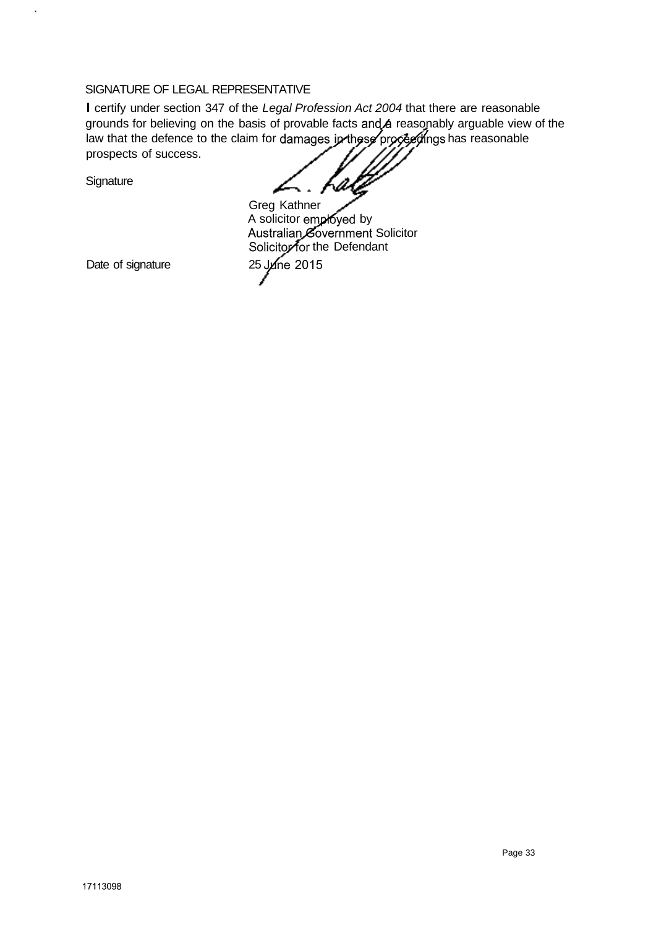## SIGNATURE OF LEGAL REPRESENTATIVE

I certify under section 347 of the Legal Profession Act 2004 that there are reasonable grounds for believing on the basis of provable facts and a reasonably arguable view of the law that the defence to the claim for damages in these proceed ings has reasonable prospects of success.

**Signature** 

 $\ddot{\phantom{a}}$ 

.. <sub>rali</sub>

Date of signature 25 June 2015 Greg Kathner A solicitor employed by Australian, Government Solicitor Solicitor for the Defendant